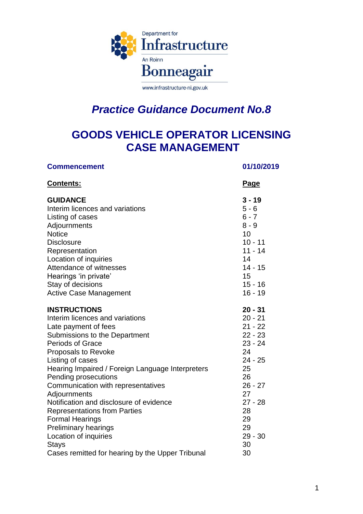

www.infrastructure-ni.gov.uk

# *Practice Guidance Document No.8*

# **GOODS VEHICLE OPERATOR LICENSING CASE MANAGEMENT**

| <b>Commencement</b>                              | 01/10/2019 |
|--------------------------------------------------|------------|
| <b>Contents:</b>                                 | Page       |
| <b>GUIDANCE</b>                                  | $3 - 19$   |
| Interim licences and variations                  | $5 - 6$    |
| Listing of cases                                 | $6 - 7$    |
| Adjournments                                     | $8 - 9$    |
| <b>Notice</b>                                    | 10         |
| <b>Disclosure</b>                                | $10 - 11$  |
| Representation                                   | $11 - 14$  |
| Location of inquiries                            | 14         |
| Attendance of witnesses                          | $14 - 15$  |
| Hearings 'in private'                            | 15         |
| Stay of decisions                                | $15 - 16$  |
| <b>Active Case Management</b>                    | $16 - 19$  |
| <b>INSTRUCTIONS</b>                              | $20 - 31$  |
| Interim licences and variations                  | $20 - 21$  |
| Late payment of fees                             | $21 - 22$  |
| Submissions to the Department                    | $22 - 23$  |
| <b>Periods of Grace</b>                          | $23 - 24$  |
| Proposals to Revoke                              | 24         |
| Listing of cases                                 | $24 - 25$  |
| Hearing Impaired / Foreign Language Interpreters | 25         |
| Pending prosecutions                             | 26         |
| Communication with representatives               | $26 - 27$  |
| Adjournments                                     | 27         |
| Notification and disclosure of evidence          | $27 - 28$  |
| <b>Representations from Parties</b>              | 28         |
| <b>Formal Hearings</b>                           | 29         |
| <b>Preliminary hearings</b>                      | 29         |
| Location of inquiries                            | $29 - 30$  |
| Stays                                            | 30         |
| Cases remitted for hearing by the Upper Tribunal | 30         |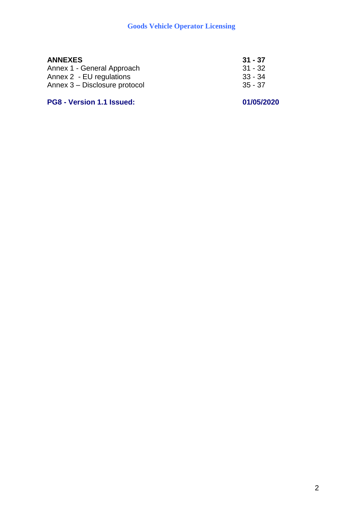| 31 - 37   |
|-----------|
| $31 - 32$ |
| $33 - 34$ |
| $35 - 37$ |
|           |

# **PG8 - Version 1.1 Issued: 01/05/2020**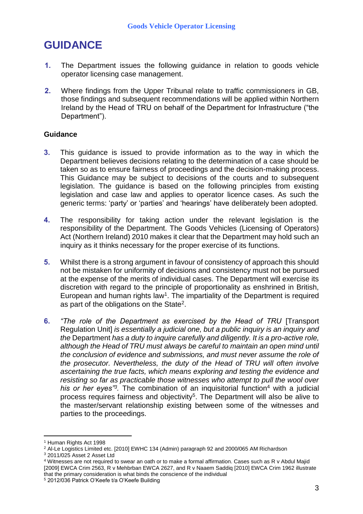# **GUIDANCE**

- **1.** The Department issues the following guidance in relation to goods vehicle operator licensing case management.
- **2.** Where findings from the Upper Tribunal relate to traffic commissioners in GB, those findings and subsequent recommendations will be applied within Northern Ireland by the Head of TRU on behalf of the Department for Infrastructure ("the Department").

# **Guidance**

- **3.** This guidance is issued to provide information as to the way in which the Department believes decisions relating to the determination of a case should be taken so as to ensure fairness of proceedings and the decision-making process. This Guidance may be subject to decisions of the courts and to subsequent legislation. The guidance is based on the following principles from existing legislation and case law and applies to operator licence cases. As such the generic terms: 'party' or 'parties' and 'hearings' have deliberately been adopted.
- **4.** The responsibility for taking action under the relevant legislation is the responsibility of the Department. The Goods Vehicles (Licensing of Operators) Act (Northern Ireland) 2010 makes it clear that the Department may hold such an inquiry as it thinks necessary for the proper exercise of its functions.
- **5.** Whilst there is a strong argument in favour of consistency of approach this should not be mistaken for uniformity of decisions and consistency must not be pursued at the expense of the merits of individual cases. The Department will exercise its discretion with regard to the principle of proportionality as enshrined in British, European and human rights law<sup>1</sup>. The impartiality of the Department is required as part of the obligations on the State<sup>2</sup>.
- **6.** *"The role of the Department as exercised by the Head of TRU* [Transport Regulation Unit] *is essentially a judicial one, but a public inquiry is an inquiry and the* Department *has a duty to inquire carefully and diligently. It is a pro-active role, although the Head of TRU must always be careful to maintain an open mind until the conclusion of evidence and submissions, and must never assume the role of the prosecutor. Nevertheless, the duty of the Head of TRU will often involve ascertaining the true facts, which means exploring and testing the evidence and resisting so far as practicable those witnesses who attempt to pull the wool over his or her eyes"<sup>3</sup> .* The combination of an inquisitorial function<sup>4</sup> with a judicial process requires fairness and objectivity<sup>5</sup>. The Department will also be alive to the master/servant relationship existing between some of the witnesses and parties to the proceedings.

1

<sup>3</sup> 2011/025 Asset 2 Asset Ltd

<sup>1</sup> Human Rights Act 1998

<sup>&</sup>lt;sup>2</sup> Al-Le Logistics Limited etc. [2010] EWHC 134 (Admin) paragraph 92 and 2000/065 AM Richardson

<sup>4</sup> Witnesses are not required to swear an oath or to make a formal affirmation. Cases such as R v Abdul Majid [2009] EWCA Crim 2563, R v Mehbrban EWCA 2627, and R v Naaem Saddiq [2010] EWCA Crim 1962 illustrate that the primary consideration is what binds the conscience of the individual <sup>5</sup> 2012/036 Patrick O'Keefe t/a O'Keefe Building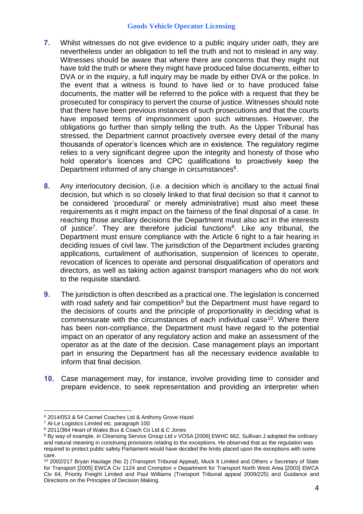- **7.** Whilst witnesses do not give evidence to a public inquiry under oath, they are nevertheless under an obligation to tell the truth and not to mislead in any way. Witnesses should be aware that where there are concerns that they might not have told the truth or where they might have produced false documents, either to DVA or in the inquiry, a full inquiry may be made by either DVA or the police. In the event that a witness is found to have lied or to have produced false documents, the matter will be referred to the police with a request that they be prosecuted for conspiracy to pervert the course of justice. Witnesses should note that there have been previous instances of such prosecutions and that the courts have imposed terms of imprisonment upon such witnesses. However, the obligations go further than simply telling the truth. As the Upper Tribunal has stressed, the Department cannot proactively oversee every detail of the many thousands of operator's licences which are in existence. The regulatory regime relies to a very significant degree upon the integrity and honesty of those who hold operator's licences and CPC qualifications to proactively keep the Department informed of any change in circumstances<sup>6</sup>.
- **8.** Any interlocutory decision, (i.e. a decision which is ancillary to the actual final decision, but which is so closely linked to that final decision so that it cannot to be considered 'procedural' or merely administrative) must also meet these requirements as it might impact on the fairness of the final disposal of a case. In reaching those ancillary decisions the Department must also act in the interests of justice<sup>7</sup>. They are therefore judicial functions<sup>8</sup>. Like any tribunal, the Department must ensure compliance with the Article 6 right to a fair hearing in deciding issues of civil law. The jurisdiction of the Department includes granting applications, curtailment of authorisation, suspension of licences to operate, revocation of licences to operate and personal disqualification of operators and directors, as well as taking action against transport managers who do not work to the requisite standard.
- **9.** The jurisdiction is often described as a practical one. The legislation is concerned with road safety and fair competition<sup>9</sup> but the Department must have regard to the decisions of courts and the principle of proportionality in deciding what is commensurate with the circumstances of each individual case<sup>10</sup>. Where there has been non-compliance, the Department must have regard to the potential impact on an operator of any regulatory action and make an assessment of the operator as at the date of the decision. Case management plays an important part in ensuring the Department has all the necessary evidence available to inform that final decision.
- **10.** Case management may, for instance, involve providing time to consider and prepare evidence, to seek representation and providing an interpreter when

<sup>&</sup>lt;u>.</u> <sup>6</sup> 2014/053 & 54 Carmel Coaches Ltd & Anthony Grove Hazel

<sup>7</sup> Al-Le Logistics Limited etc. paragraph 100

<sup>8</sup> 2011/364 Heart of Wales Bus & Coach Co Ltd & C Jones

<sup>9</sup> By way of example, in Cleansing Service Group Ltd v VOSA [2006] EWHC 662, Sullivan J adopted the ordinary and natural meaning in construing provisions relating to the exceptions. He observed that as the regulation was required to protect public safety Parliament would have decided the limits placed upon the exceptions with some care.

<sup>10 2002/217</sup> Bryan Haulage (No 2) (Transport Tribunal Appeal), Muck It Limited and Others v Secretary of State for Transport [2005] EWCA Civ 1124 and Crompton v Department for Transport North West Area [2003] EWCA Civ 64, Priority Freight Limited and Paul Williams (Transport Tribunal appeal 2009/225) and Guidance and Directions on the Principles of Decision Making.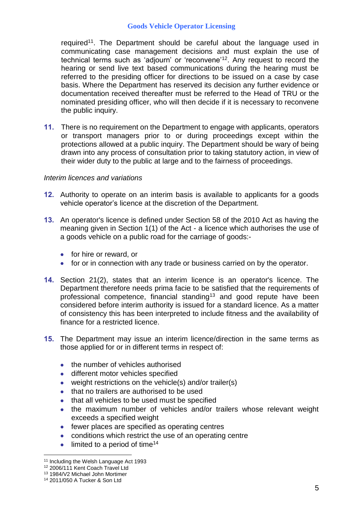required<sup>11</sup>. The Department should be careful about the language used in communicating case management decisions and must explain the use of technical terms such as 'adjourn' or 'reconvene'<sup>12</sup> . Any request to record the hearing or send live text based communications during the hearing must be referred to the presiding officer for directions to be issued on a case by case basis. Where the Department has reserved its decision any further evidence or documentation received thereafter must be referred to the Head of TRU or the nominated presiding officer, who will then decide if it is necessary to reconvene the public inquiry.

**11.** There is no requirement on the Department to engage with applicants, operators or transport managers prior to or during proceedings except within the protections allowed at a public inquiry. The Department should be wary of being drawn into any process of consultation prior to taking statutory action, in view of their wider duty to the public at large and to the fairness of proceedings.

## *Interim licences and variations*

- **12.** Authority to operate on an interim basis is available to applicants for a goods vehicle operator's licence at the discretion of the Department.
- **13.** An operator's licence is defined under Section 58 of the 2010 Act as having the meaning given in Section 1(1) of the Act - a licence which authorises the use of a goods vehicle on a public road for the carriage of goods:-
	- **•** for hire or reward, or
	- for or in connection with any trade or business carried on by the operator.
- **14.** Section 21(2), states that an interim licence is an operator's licence. The Department therefore needs prima facie to be satisfied that the requirements of professional competence, financial standing<sup>13</sup> and good repute have been considered before interim authority is issued for a standard licence. As a matter of consistency this has been interpreted to include fitness and the availability of finance for a restricted licence.
- **15.** The Department may issue an interim licence/direction in the same terms as those applied for or in different terms in respect of:
	- the number of vehicles authorised
	- **•** different motor vehicles specified
	- weight restrictions on the vehicle(s) and/or trailer(s)
	- that no trailers are authorised to be used
	- that all vehicles to be used must be specified
	- the maximum number of vehicles and/or trailers whose relevant weight exceeds a specified weight
	- fewer places are specified as operating centres
	- conditions which restrict the use of an operating centre
	- $\bullet$  limited to a period of time<sup>14</sup>

<sup>&</sup>lt;sup>11</sup> Including the Welsh Language Act 1993

<sup>12</sup> 2006/111 Kent Coach Travel Ltd

<sup>13</sup> 1984/V2 Michael John Mortimer

<sup>14</sup> 2011/050 A Tucker & Son Ltd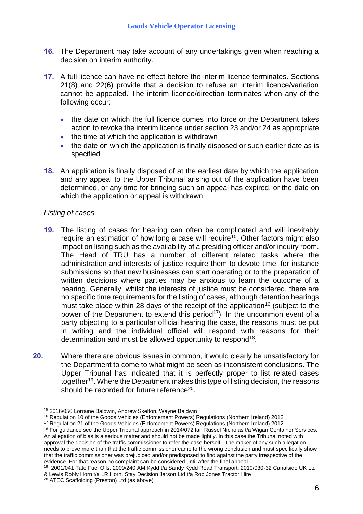- **16.** The Department may take account of any undertakings given when reaching a decision on interim authority.
- **17.** A full licence can have no effect before the interim licence terminates. Sections 21(8) and 22(6) provide that a decision to refuse an interim licence/variation cannot be appealed. The interim licence/direction terminates when any of the following occur:
	- the date on which the full licence comes into force or the Department takes action to revoke the interim licence under section 23 and/or 24 as appropriate
	- $\bullet$  the time at which the application is withdrawn
	- the date on which the application is finally disposed or such earlier date as is specified
- **18.** An application is finally disposed of at the earliest date by which the application and any appeal to the Upper Tribunal arising out of the application have been determined, or any time for bringing such an appeal has expired, or the date on which the application or appeal is withdrawn.

## *Listing of cases*

- **19.** The listing of cases for hearing can often be complicated and will inevitably require an estimation of how long a case will require<sup>15</sup>. Other factors might also impact on listing such as the availability of a presiding officer and/or inquiry room. The Head of TRU has a number of different related tasks where the administration and interests of justice require them to devote time, for instance submissions so that new businesses can start operating or to the preparation of written decisions where parties may be anxious to learn the outcome of a hearing. Generally, whilst the interests of justice must be considered, there are no specific time requirements for the listing of cases, although detention hearings must take place within 28 days of the receipt of the application<sup>16</sup> (subject to the power of the Department to extend this period<sup>17</sup>). In the uncommon event of a party objecting to a particular official hearing the case, the reasons must be put in writing and the individual official will respond with reasons for their determination and must be allowed opportunity to respond<sup>18</sup>.
- **20.** Where there are obvious issues in common, it would clearly be unsatisfactory for the Department to come to what might be seen as inconsistent conclusions. The Upper Tribunal has indicated that it is perfectly proper to list related cases together<sup>19</sup>. Where the Department makes this type of listing decision, the reasons should be recorded for future reference<sup>20</sup>.

<sup>1</sup> <sup>15</sup> 2016/050 Lorraine Baldwin, Andrew Skelton, Wayne Baldwin

<sup>&</sup>lt;sup>16</sup> Regulation 10 of the Goods Vehicles (Enforcement Powers) Regulations (Northern Ireland) 2012

<sup>&</sup>lt;sup>17</sup> Regulation 21 of the Goods Vehicles (Enforcement Powers) Regulations (Northern Ireland) 2012

<sup>&</sup>lt;sup>18</sup> For guidance see the Upper Tribunal approach in 2014/072 Ian Russel Nicholas t/a Wigan Container Services. An allegation of bias is a serious matter and should not be made lightly. In this case the Tribunal noted with approval the decision of the traffic commissioner to refer the case herself. The maker of any such allegation needs to prove more than that the traffic commissioner came to the wrong conclusion and must specifically show that the traffic commissioner was prejudiced and/or predisposed to find against the party irrespective of the evidence. For that reason no complaint can be considered until after the final appeal.

<sup>&</sup>lt;sup>19</sup> 2001/041 Tate Fuel Oils, 2009/240 AM Kydd t/a Sandy Kydd Road Transport, 2010/030-32 Canalside UK Ltd & Lewis Robly Horn t/a LR Horn, Stay Decision Jarson Ltd t/a Rob Jones Tractor Hire

<sup>20</sup> ATEC Scaffolding (Preston) Ltd (as above)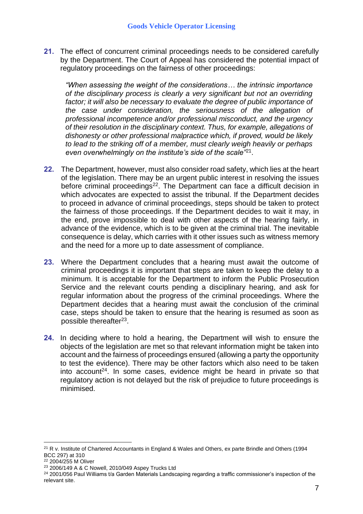**21.** The effect of concurrent criminal proceedings needs to be considered carefully by the Department. The Court of Appeal has considered the potential impact of regulatory proceedings on the fairness of other proceedings:

*"When assessing the weight of the considerations… the intrinsic importance of the disciplinary process is clearly a very significant but not an overriding factor; it will also be necessary to evaluate the degree of public importance of the case under consideration, the seriousness of the allegation of professional incompetence and/or professional misconduct, and the urgency of their resolution in the disciplinary context. Thus, for example, allegations of dishonesty or other professional malpractice which, if proved, would be likely to lead to the striking off of a member, must clearly weigh heavily or perhaps even overwhelmingly on the institute's side of the scale"*<sup>21</sup> .

- **22.** The Department, however, must also consider road safety, which lies at the heart of the legislation. There may be an urgent public interest in resolving the issues before criminal proceedings<sup>22</sup>. The Department can face a difficult decision in which advocates are expected to assist the tribunal. If the Department decides to proceed in advance of criminal proceedings, steps should be taken to protect the fairness of those proceedings. If the Department decides to wait it may, in the end, prove impossible to deal with other aspects of the hearing fairly, in advance of the evidence, which is to be given at the criminal trial. The inevitable consequence is delay, which carries with it other issues such as witness memory and the need for a more up to date assessment of compliance.
- **23.** Where the Department concludes that a hearing must await the outcome of criminal proceedings it is important that steps are taken to keep the delay to a minimum. It is acceptable for the Department to inform the Public Prosecution Service and the relevant courts pending a disciplinary hearing, and ask for regular information about the progress of the criminal proceedings. Where the Department decides that a hearing must await the conclusion of the criminal case, steps should be taken to ensure that the hearing is resumed as soon as possible thereafter<sup>23</sup>.
- **24.** In deciding where to hold a hearing, the Department will wish to ensure the objects of the legislation are met so that relevant information might be taken into account and the fairness of proceedings ensured (allowing a party the opportunity to test the evidence). There may be other factors which also need to be taken into account<sup>24</sup>. In some cases, evidence might be heard in private so that regulatory action is not delayed but the risk of prejudice to future proceedings is minimised.

<u>.</u>

<sup>&</sup>lt;sup>21</sup> R v. Institute of Chartered Accountants in England & Wales and Others, ex parte Brindle and Others (1994 BCC 297) at 310

<sup>22</sup> 2004/255 M Oliver

<sup>23</sup> 2006/149 A & C Nowell, 2010/049 Aspey Trucks Ltd

<sup>&</sup>lt;sup>24</sup> 2001/056 Paul Williams t/a Garden Materials Landscaping regarding a traffic commissioner's inspection of the relevant site.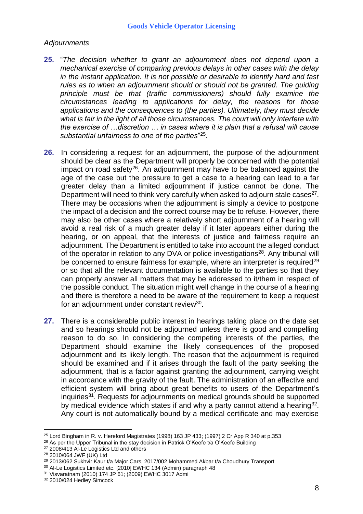### *Adjournments*

- **25.** "*The decision whether to grant an adjournment does not depend upon a mechanical exercise of comparing previous delays in other cases with the delay in the instant application. It is not possible or desirable to identify hard and fast rules as to when an adjournment should or should not be granted. The guiding principle must be that (traffic commissioners) should fully examine the circumstances leading to applications for delay, the reasons for those applications and the consequences to (the parties). Ultimately, they must decide what is fair in the light of all those circumstances. The court will only interfere with the exercise of …discretion … in cases where it is plain that a refusal will cause substantial unfairness to one of the parties*" 25 .
- **26.** In considering a request for an adjournment, the purpose of the adjournment should be clear as the Department will properly be concerned with the potential impact on road safety<sup>26</sup>. An adjournment may have to be balanced against the age of the case but the pressure to get a case to a hearing can lead to a far greater delay than a limited adjournment if justice cannot be done. The Department will need to think very carefully when asked to adjourn stale cases $^{27}$ . There may be occasions when the adjournment is simply a device to postpone the impact of a decision and the correct course may be to refuse. However, there may also be other cases where a relatively short adjournment of a hearing will avoid a real risk of a much greater delay if it later appears either during the hearing, or on appeal, that the interests of justice and fairness require an adjournment. The Department is entitled to take into account the alleged conduct of the operator in relation to any DVA or police investigations<sup>28</sup>. Any tribunal will be concerned to ensure fairness for example, where an interpreter is required<sup>29</sup> or so that all the relevant documentation is available to the parties so that they can properly answer all matters that may be addressed to it/them in respect of the possible conduct. The situation might well change in the course of a hearing and there is therefore a need to be aware of the requirement to keep a request for an adjournment under constant review<sup>30</sup>.
- **27.** There is a considerable public interest in hearings taking place on the date set and so hearings should not be adjourned unless there is good and compelling reason to do so. In considering the competing interests of the parties, the Department should examine the likely consequences of the proposed adjournment and its likely length. The reason that the adjournment is required should be examined and if it arises through the fault of the party seeking the adjournment, that is a factor against granting the adjournment, carrying weight in accordance with the gravity of the fault. The administration of an effective and efficient system will bring about great benefits to users of the Department's inquiries<sup>31</sup>. Requests for adjournments on medical grounds should be supported by medical evidence which states if and why a party cannot attend a hearing<sup>32</sup>. Any court is not automatically bound by a medical certificate and may exercise

<u>.</u>

 $25$  Lord Bingham in R. v. Hereford Magistrates (1998) 163 JP 433; (1997) 2 Cr App R 340 at p.353

<sup>&</sup>lt;sup>26</sup> As per the Upper Tribunal in the stay decision in Patrick O'Keefe t/a O'Keefe Building

<sup>&</sup>lt;sup>27</sup> 2008/413 Al-Le Logistics Ltd and others

<sup>28</sup> 2010/064 JWF (UK) Ltd

<sup>&</sup>lt;sup>29</sup> 2013/062 Sukhvir Kaur t/a Major Cars, 2017/002 Mohammed Akbar t/a Choudhury Transport

<sup>30</sup> Al-Le Logistics Limited etc. [2010] EWHC 134 (Admin) paragraph 48

<sup>31</sup> Visvaratnam (2010) 174 JP 61; (2009) EWHC 3017 Admi

<sup>32</sup> 2010/024 Hedley Simcock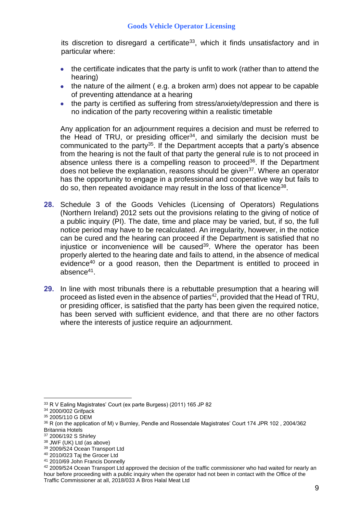its discretion to disregard a certificate<sup>33</sup>, which it finds unsatisfactory and in particular where:

- the certificate indicates that the party is unfit to work (rather than to attend the hearing)
- the nature of the ailment (e.g. a broken arm) does not appear to be capable of preventing attendance at a hearing
- the party is certified as suffering from stress/anxiety/depression and there is no indication of the party recovering within a realistic timetable

Any application for an adjournment requires a decision and must be referred to the Head of TRU, or presiding officer<sup>34</sup>, and similarly the decision must be communicated to the party<sup>35</sup>. If the Department accepts that a party's absence from the hearing is not the fault of that party the general rule is to not proceed in absence unless there is a compelling reason to proceed<sup>36</sup>. If the Department does not believe the explanation, reasons should be given<sup>37</sup>. Where an operator has the opportunity to engage in a professional and cooperative way but fails to do so, then repeated avoidance may result in the loss of that licence<sup>38</sup>.

- **28.** Schedule 3 of the Goods Vehicles (Licensing of Operators) Regulations (Northern Ireland) 2012 sets out the provisions relating to the giving of notice of a public inquiry (PI). The date, time and place may be varied, but, if so, the full notice period may have to be recalculated. An irregularity, however, in the notice can be cured and the hearing can proceed if the Department is satisfied that no injustice or inconvenience will be caused<sup>39</sup>. Where the operator has been properly alerted to the hearing date and fails to attend, in the absence of medical evidence<sup>40</sup> or a good reason, then the Department is entitled to proceed in absence<sup>41</sup> .
- **29.** In line with most tribunals there is a rebuttable presumption that a hearing will proceed as listed even in the absence of parties<sup>42</sup>, provided that the Head of TRU, or presiding officer, is satisfied that the party has been given the required notice, has been served with sufficient evidence, and that there are no other factors where the interests of justice require an adjournment.

<u>.</u>

<sup>38</sup> JWF (UK) Ltd (as above)

<sup>40</sup> 2010/023 Taj the Grocer Ltd

<sup>33</sup> R V Ealing Magistrates' Court (ex parte Burgess) (2011) 165 JP 82

<sup>34</sup> 2000/002 Grifpack

<sup>35</sup> 2005/110 G DEM

<sup>&</sup>lt;sup>36</sup> R (on the application of M) v Burnley, Pendle and Rossendale Magistrates' Court 174 JPR 102, 2004/362 Britannia Hotels

<sup>37</sup> 2006/192 S Shirley

<sup>39</sup> 2009/524 Ocean Transport Ltd

<sup>41</sup> 2010/69 John Francis Donnelly

<sup>42 2009/524</sup> Ocean Transport Ltd approved the decision of the traffic commissioner who had waited for nearly an hour before proceeding with a public inquiry when the operator had not been in contact with the Office of the Traffic Commissioner at all, 2018/033 A Bros Halal Meat Ltd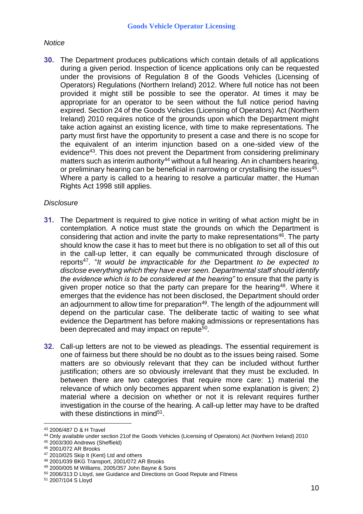### *Notice*

**30.** The Department produces publications which contain details of all applications during a given period. Inspection of licence applications only can be requested under the provisions of Regulation 8 of the Goods Vehicles (Licensing of Operators) Regulations (Northern Ireland) 2012. Where full notice has not been provided it might still be possible to see the operator. At times it may be appropriate for an operator to be seen without the full notice period having expired. Section 24 of the Goods Vehicles (Licensing of Operators) Act (Northern Ireland) 2010 requires notice of the grounds upon which the Department might take action against an existing licence, with time to make representations. The party must first have the opportunity to present a case and there is no scope for the equivalent of an interim injunction based on a one-sided view of the evidence<sup>43</sup>. This does not prevent the Department from considering preliminary matters such as interim authority<sup>44</sup> without a full hearing. An in chambers hearing, or preliminary hearing can be beneficial in narrowing or crystallising the issues<sup>45</sup>. Where a party is called to a hearing to resolve a particular matter, the Human Rights Act 1998 still applies.

## *Disclosure*

- **31.** The Department is required to give notice in writing of what action might be in contemplation. A notice must state the grounds on which the Department is considering that action and invite the party to make representations<sup>46</sup>. The party should know the case it has to meet but there is no obligation to set all of this out in the call-up letter, it can equally be communicated through disclosure of reports<sup>47</sup>. "*It would be impracticable for the* Department *to be expected to disclose everything which they have ever seen. Departmental staff should identify the evidence which is to be considered at the hearing"* to ensure that the party is given proper notice so that the party can prepare for the hearing<sup>48</sup>. Where it emerges that the evidence has not been disclosed, the Department should order an adjournment to allow time for preparation<sup>49</sup>. The length of the adjournment will depend on the particular case. The deliberate tactic of waiting to see what evidence the Department has before making admissions or representations has been deprecated and may impact on repute<sup>50</sup>.
- **32.** Call-up letters are not to be viewed as pleadings. The essential requirement is one of fairness but there should be no doubt as to the issues being raised. Some matters are so obviously relevant that they can be included without further justification; others are so obviously irrelevant that they must be excluded. In between there are two categories that require more care: 1) material the relevance of which only becomes apparent when some explanation is given; 2) material where a decision on whether or not it is relevant requires further investigation in the course of the hearing. A call-up letter may have to be drafted with these distinctions in mind<sup>51</sup>.

<sup>43</sup> 2006/487 D & H Travel

<sup>44</sup> Only available under section 21of the Goods Vehicles (Licensing of Operators) Act (Northern Ireland) 2010

<sup>45</sup> 2003/300 Andrews (Sheffield)

<sup>46</sup> 2001/072 AR Brooks

<sup>47</sup> 2010/025 Skip It (Kent) Ltd and others

<sup>48</sup> 2001/039 BKG Transport, 2001/072 AR Brooks

<sup>49</sup> 2000/005 M Williams, 2005/357 John Bayne & Sons

<sup>50</sup> 2006/313 D Lloyd, see Guidance and Directions on Good Repute and Fitness

<sup>51</sup> 2007/104 S Lloyd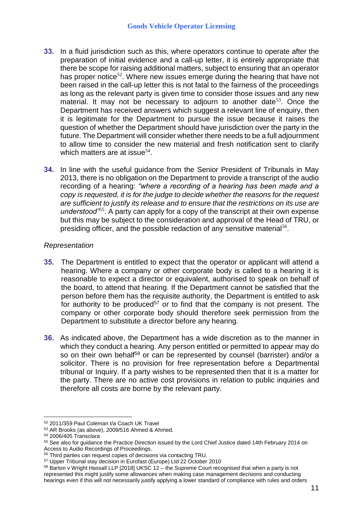- **33.** In a fluid jurisdiction such as this, where operators continue to operate after the preparation of initial evidence and a call-up letter, it is entirely appropriate that there be scope for raising additional matters, subject to ensuring that an operator has proper notice<sup>52</sup>. Where new issues emerge during the hearing that have not been raised in the call-up letter this is not fatal to the fairness of the proceedings as long as the relevant party is given time to consider those issues and any new material. It may not be necessary to adjourn to another date<sup>53</sup>. Once the Department has received answers which suggest a relevant line of enquiry, then it is legitimate for the Department to pursue the issue because it raises the question of whether the Department should have jurisdiction over the party in the future. The Department will consider whether there needs to be a full adjournment to allow time to consider the new material and fresh notification sent to clarify which matters are at issue<sup>54</sup>.
- **34.** In line with the useful guidance from the Senior President of Tribunals in May 2013, there is no obligation on the Department to provide a transcript of the audio recording of a hearing: *"where a recording of a hearing has been made and a copy is requested, it is for the judge to decide whether the reasons for the request are sufficient to justify its release and to ensure that the restrictions on its use are*  understood<sup>355</sup>. A party can apply for a copy of the transcript at their own expense but this may be subject to the consideration and approval of the Head of TRU, or presiding officer, and the possible redaction of any sensitive material<sup>56</sup>.

## *Representation*

- **35.** The Department is entitled to expect that the operator or applicant will attend a hearing. Where a company or other corporate body is called to a hearing it is reasonable to expect a director or equivalent, authorised to speak on behalf of the board, to attend that hearing. If the Department cannot be satisfied that the person before them has the requisite authority, the Department is entitled to ask for authority to be produced<sup>57</sup> or to find that the company is not present. The company or other corporate body should therefore seek permission from the Department to substitute a director before any hearing.
- **36.** As indicated above, the Department has a wide discretion as to the manner in which they conduct a hearing. Any person entitled or permitted to appear may do so on their own behalf<sup>58</sup> or can be represented by counsel (barrister) and/or a solicitor. There is no provision for free representation before a Departmental tribunal or Inquiry. If a party wishes to be represented then that it is a matter for the party. There are no active cost provisions in relation to public inquiries and therefore all costs are borne by the relevant party.

<sup>52</sup> 2011/359 Paul Coleman t/a Coach UK Travel

<sup>53</sup> AR Brooks (as above), 2009/516 Ahmed & Ahmed.

<sup>54</sup> 2006/405 Transclara

<sup>55</sup> See also for guidance the Practice Direction issued by the Lord Chief Justice dated 14th February 2014 on Access to Audio Recordings of Proceedings.

<sup>56</sup> Third parties can request copies of decisions via contacting TRU.

<sup>57</sup> Upper Tribunal stay decision in Eurofast (Europe) Ltd 22 October 2010

<sup>58</sup> Barton v Wright Hassall LLP [2018] UKSC 12 – the Supreme Court recognised that when a party is not represented this might justify some allowances when making case management decisions and conducting hearings even if this will not necessarily justify applying a lower standard of compliance with rules and orders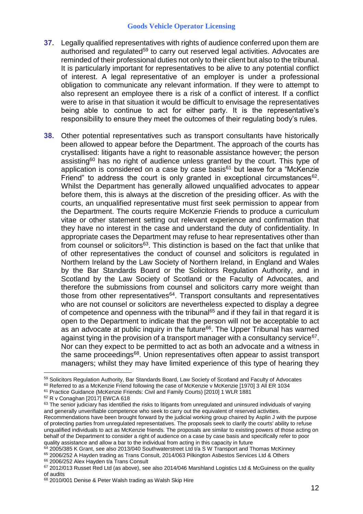- **37.** Legally qualified representatives with rights of audience conferred upon them are authorised and regulated<sup>59</sup> to carry out reserved legal activities. Advocates are reminded of their professional duties not only to their client but also to the tribunal. It is particularly important for representatives to be alive to any potential conflict of interest. A legal representative of an employer is under a professional obligation to communicate any relevant information. If they were to attempt to also represent an employee there is a risk of a conflict of interest. If a conflict were to arise in that situation it would be difficult to envisage the representatives being able to continue to act for either party. It is the representative's responsibility to ensure they meet the outcomes of their regulating body's rules.
- **38.** Other potential representatives such as transport consultants have historically been allowed to appear before the Department. The approach of the courts has crystallised: litigants have a right to reasonable assistance however; the person assisting<sup>60</sup> has no right of audience unless granted by the court. This type of application is considered on a case by case basis $61$  but leave for a "McKenzie Friend" to address the court is only granted in exceptional circumstances $62$ . Whilst the Department has generally allowed unqualified advocates to appear before them, this is always at the discretion of the presiding officer. As with the courts, an unqualified representative must first seek permission to appear from the Department. The courts require McKenzie Friends to produce a curriculum vitae or other statement setting out relevant experience and confirmation that they have no interest in the case and understand the duty of confidentiality. In appropriate cases the Department may refuse to hear representatives other than from counsel or solicitors<sup>63</sup>. This distinction is based on the fact that unlike that of other representatives the conduct of counsel and solicitors is regulated in Northern Ireland by the Law Society of Northern Ireland, in England and Wales by the Bar Standards Board or the Solicitors Regulation Authority, and in Scotland by the Law Society of Scotland or the Faculty of Advocates, and therefore the submissions from counsel and solicitors carry more weight than those from other representatives $64$ . Transport consultants and representatives who are not counsel or solicitors are nevertheless expected to display a degree of competence and openness with the tribunal<sup>65</sup> and if they fail in that regard it is open to the Department to indicate that the person will not be acceptable to act as an advocate at public inquiry in the future<sup>66</sup>. The Upper Tribunal has warned against tying in the provision of a transport manager with a consultancy service<sup>67</sup>. Nor can they expect to be permitted to act as both an advocate and a witness in the same proceedings<sup>68</sup>. Union representatives often appear to assist transport managers; whilst they may have limited experience of this type of hearing they

<u>.</u>

 $64$  2005/385 K Grant, see also 2013/040 Southwaterstreet Ltd t/a S W Transport and Thomas McKinney

<sup>66</sup> 2006/252 Alex Hayden t/a Trans Consult

<sup>59</sup> Solicitors Regulation Authority, Bar Standards Board, Law Society of Scotland and Faculty of Advocates

<sup>&</sup>lt;sup>60</sup> Referred to as a McKenzie Friend following the case of McKenzie v McKenzie [1970] 3 All ER 1034

<sup>61</sup> Practice Guidance (McKenzie Friends: Civil and Family Courts) [2010] 1 WLR 1881

<sup>62</sup> R v Conaghan [2017] EWCA 618

<sup>&</sup>lt;sup>63</sup> The senior judiciary has identified the risks to litigants from unregulated and uninsured individuals of varying and generally unverifiable competence who seek to carry out the equivalent of reserved activities. Recommendations have been brought forward by the judicial working group chaired by Asplin J with the purpose of protecting parties from unregulated representatives. The proposals seek to clarify the courts' ability to refuse unqualified individuals to act as McKenzie friends. The proposals are similar to existing powers of those acting on behalf of the Department to consider a right of audience on a case by case basis and specifically refer to poor quality assistance and allow a bar to the individual from acting in this capacity in future

<sup>65</sup> 2006/252 A Hayden trading as Trans Consult, 2014/063 Pilkington Asbestos Services Ltd & Others

<sup>67 2012/013</sup> Russet Red Ltd (as above), see also 2014/046 Marshland Logistics Ltd & McGuiness on the quality of audits

<sup>68</sup> 2010/001 Denise & Peter Walsh trading as Walsh Skip Hire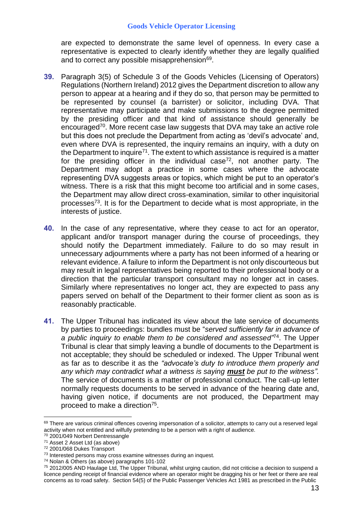are expected to demonstrate the same level of openness. In every case a representative is expected to clearly identify whether they are legally qualified and to correct any possible misapprehension<sup>69</sup>.

- **39.** Paragraph 3(5) of Schedule 3 of the Goods Vehicles (Licensing of Operators) Regulations (Northern Ireland) 2012 gives the Department discretion to allow any person to appear at a hearing and if they do so, that person may be permitted to be represented by counsel (a barrister) or solicitor, including DVA. That representative may participate and make submissions to the degree permitted by the presiding officer and that kind of assistance should generally be encouraged<sup>70</sup>. More recent case law suggests that DVA may take an active role but this does not preclude the Department from acting as 'devil's advocate' and, even where DVA is represented, the inquiry remains an inquiry, with a duty on the Department to inquire<sup>71</sup>. The extent to which assistance is required is a matter for the presiding officer in the individual case<sup> $72$ </sup>, not another party. The Department may adopt a practice in some cases where the advocate representing DVA suggests areas or topics, which might be put to an operator's witness. There is a risk that this might become too artificial and in some cases, the Department may allow direct cross-examination, similar to other inquisitorial processes<sup>73</sup>. It is for the Department to decide what is most appropriate, in the interests of justice.
- **40.** In the case of any representative, where they cease to act for an operator, applicant and/or transport manager during the course of proceedings, they should notify the Department immediately. Failure to do so may result in unnecessary adjournments where a party has not been informed of a hearing or relevant evidence. A failure to inform the Department is not only discourteous but may result in legal representatives being reported to their professional body or a direction that the particular transport consultant may no longer act in cases. Similarly where representatives no longer act, they are expected to pass any papers served on behalf of the Department to their former client as soon as is reasonably practicable.
- **41.** The Upper Tribunal has indicated its view about the late service of documents by parties to proceedings: bundles must be "*served sufficiently far in advance of a public inquiry to enable them to be considered and assessed"*<sup>74</sup> . The Upper Tribunal is clear that simply leaving a bundle of documents to the Department is not acceptable; they should be scheduled or indexed. The Upper Tribunal went as far as to describe it as the *"advocate's duty to introduce them properly and any which may contradict what a witness is saying must be put to the witness".* The service of documents is a matter of professional conduct. The call-up letter normally requests documents to be served in advance of the hearing date and, having given notice, if documents are not produced, the Department may proceed to make a direction<sup>75</sup>.

<sup>69</sup> There are various criminal offences covering impersonation of a solicitor, attempts to carry out a reserved legal activity when not entitled and wilfully pretending to be a person with a right of audience.

<sup>70</sup> 2001/049 Norbert Dentressangle

<sup>71</sup> Asset 2 Asset Ltd (as above)

<sup>72</sup> 2001/068 Dukes Transport

<sup>&</sup>lt;sup>73</sup> Interested persons may cross examine witnesses during an inquest.

<sup>74</sup> Nolan & Others (as above) paragraphs 101-102

<sup>75</sup> 2012/005 AND Haulage Ltd, The Upper Tribunal, whilst urging caution, did not criticise a decision to suspend a licence pending receipt of financial evidence where an operator might be dragging his or her feet or there are real concerns as to road safety. Section 54(5) of the Public Passenger Vehicles Act 1981 as prescribed in the Public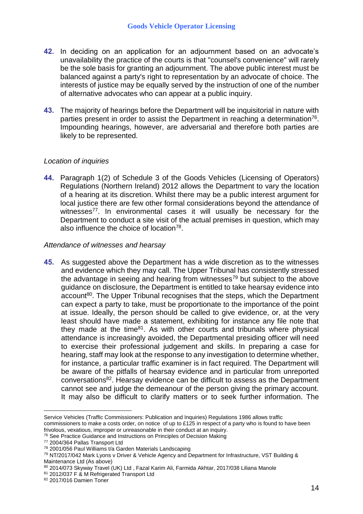- **42.** In deciding on an application for an adjournment based on an advocate's unavailability the practice of the courts is that "counsel's convenience" will rarely be the sole basis for granting an adjournment. The above public interest must be balanced against a party's right to representation by an advocate of choice. The interests of justice may be equally served by the instruction of one of the number of alternative advocates who can appear at a public inquiry.
- **43.** The majority of hearings before the Department will be inquisitorial in nature with parties present in order to assist the Department in reaching a determination<sup>76</sup>. Impounding hearings, however, are adversarial and therefore both parties are likely to be represented.

## *Location of inquiries*

**44.** Paragraph 1(2) of Schedule 3 of the Goods Vehicles (Licensing of Operators) Regulations (Northern Ireland) 2012 allows the Department to vary the location of a hearing at its discretion. Whilst there may be a public interest argument for local justice there are few other formal considerations beyond the attendance of witnesses<sup>77</sup>. In environmental cases it will usually be necessary for the Department to conduct a site visit of the actual premises in question, which may also influence the choice of location<sup>78</sup>.

## *Attendance of witnesses and hearsay*

**45.** As suggested above the Department has a wide discretion as to the witnesses and evidence which they may call. The Upper Tribunal has consistently stressed the advantage in seeing and hearing from witnesses<sup>79</sup> but subject to the above guidance on disclosure, the Department is entitled to take hearsay evidence into account<sup>80</sup>. The Upper Tribunal recognises that the steps, which the Department can expect a party to take, must be proportionate to the importance of the point at issue. Ideally, the person should be called to give evidence, or, at the very least should have made a statement, exhibiting for instance any file note that they made at the time<sup>81</sup>. As with other courts and tribunals where physical attendance is increasingly avoided, the Departmental presiding officer will need to exercise their professional judgement and skills. In preparing a case for hearing, staff may look at the response to any investigation to determine whether, for instance, a particular traffic examiner is in fact required. The Department will be aware of the pitfalls of hearsay evidence and in particular from unreported conversations<sup>82</sup>. Hearsay evidence can be difficult to assess as the Department cannot see and judge the demeanour of the person giving the primary account. It may also be difficult to clarify matters or to seek further information. The

<u>.</u>

Service Vehicles (Traffic Commissioners: Publication and Inquiries) Regulations 1986 allows traffic commissioners to make a costs order, on notice of up to £125 in respect of a party who is found to have been frivolous, vexatious, improper or unreasonable in their conduct at an inquiry.

<sup>&</sup>lt;sup>76</sup> See Practice Guidance and Instructions on Principles of Decision Making

<sup>77</sup> 2004/364 Pallas Transport Ltd

<sup>78</sup> 2001/056 Paul Williams t/a Garden Materials Landscaping

<sup>79</sup> NT/2017/042 Mark Lyons v Driver & Vehicle Agency and Department for Infrastructure, VST Building & Maintenance Ltd (As above)

<sup>80 2014/073</sup> Skyway Travel (UK) Ltd, Fazal Karim Ali, Farmida Akhtar, 2017/038 Liliana Manole

<sup>81</sup> 2012/037 F & M Refrigerated Transport Ltd

<sup>82 2017/016</sup> Damien Toner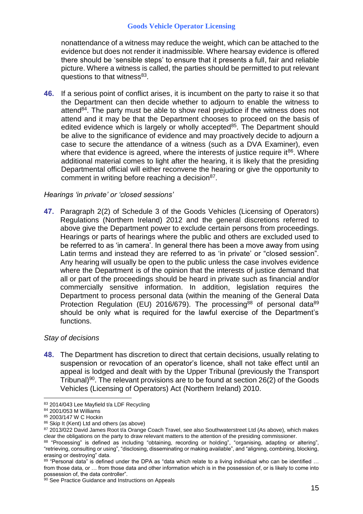nonattendance of a witness may reduce the weight, which can be attached to the evidence but does not render it inadmissible. Where hearsay evidence is offered there should be 'sensible steps' to ensure that it presents a full, fair and reliable picture. Where a witness is called, the parties should be permitted to put relevant questions to that witness<sup>83</sup>.

**46.** If a serious point of conflict arises, it is incumbent on the party to raise it so that the Department can then decide whether to adjourn to enable the witness to attend<sup>84</sup>. The party must be able to show real prejudice if the witness does not attend and it may be that the Department chooses to proceed on the basis of edited evidence which is largely or wholly accepted<sup>85</sup>. The Department should be alive to the significance of evidence and may proactively decide to adjourn a case to secure the attendance of a witness (such as a DVA Examiner), even where that evidence is agreed, where the interests of justice require it<sup>86</sup>. Where additional material comes to light after the hearing, it is likely that the presiding Departmental official will either reconvene the hearing or give the opportunity to comment in writing before reaching a decision<sup>87</sup>.

## *Hearings 'in private' or 'closed sessions'*

**47.** Paragraph 2(2) of Schedule 3 of the Goods Vehicles (Licensing of Operators) Regulations (Northern Ireland) 2012 and the general discretions referred to above give the Department power to exclude certain persons from proceedings. Hearings or parts of hearings where the public and others are excluded used to be referred to as 'in camera'. In general there has been a move away from using Latin terms and instead they are referred to as 'in private' or "closed session". Any hearing will usually be open to the public unless the case involves evidence where the Department is of the opinion that the interests of justice demand that all or part of the proceedings should be heard in private such as financial and/or commercially sensitive information. In addition, legislation requires the Department to process personal data (within the meaning of the General Data Protection Regulation (EU) 2016/679). The processing<sup>88</sup> of personal data<sup>89</sup> should be only what is required for the lawful exercise of the Department's functions.

# *Stay of decisions*

**48.** The Department has discretion to direct that certain decisions, usually relating to suspension or revocation of an operator's licence, shall not take effect until an appeal is lodged and dealt with by the Upper Tribunal (previously the Transport Tribunal)<sup>90</sup>. The relevant provisions are to be found at section  $26(2)$  of the Goods Vehicles (Licensing of Operators) Act (Northern Ireland) 2010.

<u>.</u>

<sup>83 2014/043</sup> Lee Mayfield t/a LDF Recycling

<sup>84</sup> 2001/053 M Williams

<sup>85</sup> 2003/147 W C Hockin

<sup>86</sup> Skip It (Kent) Ltd and others (as above)

<sup>87 2013/022</sup> David James Root t/a Orange Coach Travel, see also Southwaterstreet Ltd (As above), which makes clear the obligations on the party to draw relevant matters to the attention of the presiding commissioner.

<sup>88 &</sup>quot;Processing" is defined as including "obtaining, recording or holding", "organising, adapting or altering", "retrieving, consulting or using", "disclosing, disseminating or making available", and "aligning, combining, blocking, erasing or destroying" data.

<sup>89 &</sup>quot;Personal data" is defined under the DPA as "data which relate to a living individual who can be identified ... from those data, or … from those data and other information which is in the possession of, or is likely to come into possession of, the data controller".

<sup>90</sup> See Practice Guidance and Instructions on Appeals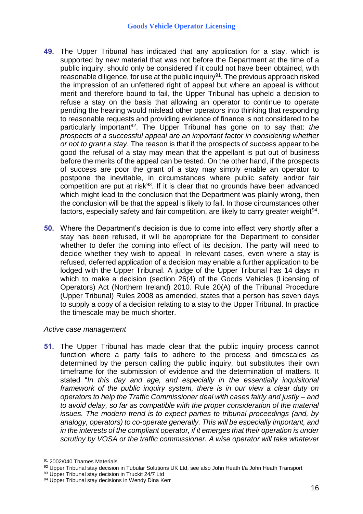- **49.** The Upper Tribunal has indicated that any application for a stay. which is supported by new material that was not before the Department at the time of a public inquiry, should only be considered if it could not have been obtained, with reasonable diligence, for use at the public inquiry<sup>91</sup>. The previous approach risked the impression of an unfettered right of appeal but where an appeal is without merit and therefore bound to fail, the Upper Tribunal has upheld a decision to refuse a stay on the basis that allowing an operator to continue to operate pending the hearing would mislead other operators into thinking that responding to reasonable requests and providing evidence of finance is not considered to be particularly important<sup>92</sup>. The Upper Tribunal has gone on to say that: *the prospects of a successful appeal are an important factor in considering whether or not to grant a stay*. The reason is that if the prospects of success appear to be good the refusal of a stay may mean that the appellant is put out of business before the merits of the appeal can be tested. On the other hand, if the prospects of success are poor the grant of a stay may simply enable an operator to postpone the inevitable, in circumstances where public safety and/or fair competition are put at risk $93$ . If it is clear that no grounds have been advanced which might lead to the conclusion that the Department was plainly wrong, then the conclusion will be that the appeal is likely to fail. In those circumstances other factors, especially safety and fair competition, are likely to carry greater weight<sup>94</sup>.
- **50.** Where the Department's decision is due to come into effect very shortly after a stay has been refused, it will be appropriate for the Department to consider whether to defer the coming into effect of its decision. The party will need to decide whether they wish to appeal. In relevant cases, even where a stay is refused, deferred application of a decision may enable a further application to be lodged with the Upper Tribunal. A judge of the Upper Tribunal has 14 days in which to make a decision (section 26(4) of the Goods Vehicles (Licensing of Operators) Act (Northern Ireland) 2010. Rule 20(A) of the Tribunal Procedure (Upper Tribunal) Rules 2008 as amended, states that a person has seven days to supply a copy of a decision relating to a stay to the Upper Tribunal. In practice the timescale may be much shorter.

## *Active case management*

**51.** The Upper Tribunal has made clear that the public inquiry process cannot function where a party fails to adhere to the process and timescales as determined by the person calling the public inquiry, but substitutes their own timeframe for the submission of evidence and the determination of matters. It stated "*In this day and age, and especially in the essentially inquisitorial framework of the public inquiry system, there is in our view a clear duty on operators to help the Traffic Commissioner deal with cases fairly and justly – and to avoid delay, so far as compatible with the proper consideration of the material issues. The modern trend is to expect parties to tribunal proceedings (and, by analogy, operators) to co-operate generally. This will be especially important, and in the interests of the compliant operator, if it emerges that their operation is under scrutiny by VOSA or the traffic commissioner. A wise operator will take whatever* 

<sup>1</sup> <sup>91</sup> 2002/040 Thames Materials

<sup>92</sup> Upper Tribunal stay decision in Tubular Solutions UK Ltd, see also John Heath t/a John Heath Transport

<sup>93</sup> Upper Tribunal stay decision in Truckit 24/7 Ltd

<sup>94</sup> Upper Tribunal stay decisions in Wendy Dina Kerr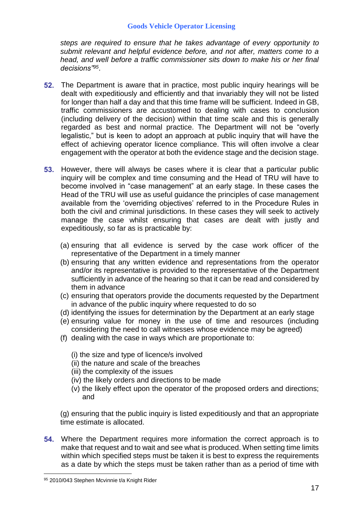*steps are required to ensure that he takes advantage of every opportunity to submit relevant and helpful evidence before, and not after, matters come to a head, and well before a traffic commissioner sits down to make his or her final decisions"<sup>95</sup>* .

- **52.** The Department is aware that in practice, most public inquiry hearings will be dealt with expeditiously and efficiently and that invariably they will not be listed for longer than half a day and that this time frame will be sufficient. Indeed in GB, traffic commissioners are accustomed to dealing with cases to conclusion (including delivery of the decision) within that time scale and this is generally regarded as best and normal practice. The Department will not be "overly legalistic," but is keen to adopt an approach at public inquiry that will have the effect of achieving operator licence compliance. This will often involve a clear engagement with the operator at both the evidence stage and the decision stage.
- **53.** However, there will always be cases where it is clear that a particular public inquiry will be complex and time consuming and the Head of TRU will have to become involved in "case management" at an early stage. In these cases the Head of the TRU will use as useful guidance the principles of case management available from the 'overriding objectives' referred to in the Procedure Rules in both the civil and criminal jurisdictions. In these cases they will seek to actively manage the case whilst ensuring that cases are dealt with justly and expeditiously, so far as is practicable by:
	- (a) ensuring that all evidence is served by the case work officer of the representative of the Department in a timely manner
	- (b) ensuring that any written evidence and representations from the operator and/or its representative is provided to the representative of the Department sufficiently in advance of the hearing so that it can be read and considered by them in advance
	- (c) ensuring that operators provide the documents requested by the Department in advance of the public inquiry where requested to do so
	- (d) identifying the issues for determination by the Department at an early stage
	- (e) ensuring value for money in the use of time and resources (including considering the need to call witnesses whose evidence may be agreed)
	- (f) dealing with the case in ways which are proportionate to:
		- (i) the size and type of licence/s involved
		- (ii) the nature and scale of the breaches
		- (iii) the complexity of the issues
		- (iv) the likely orders and directions to be made
		- (v) the likely effect upon the operator of the proposed orders and directions; and

(g) ensuring that the public inquiry is listed expeditiously and that an appropriate time estimate is allocated.

**54.** Where the Department requires more information the correct approach is to make that request and to wait and see what is produced. When setting time limits within which specified steps must be taken it is best to express the requirements as a date by which the steps must be taken rather than as a period of time with

<u>.</u>

<sup>95 2010/043</sup> Stephen Mcvinnie t/a Knight Rider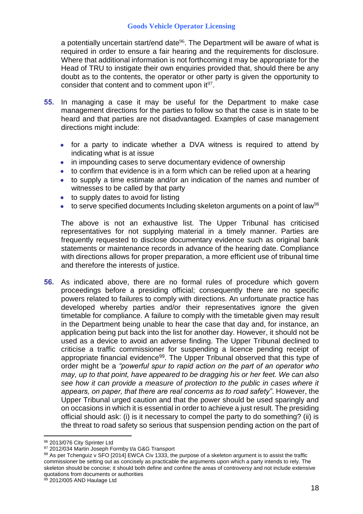a potentially uncertain start/end date<sup>96</sup>. The Department will be aware of what is required in order to ensure a fair hearing and the requirements for disclosure. Where that additional information is not forthcoming it may be appropriate for the Head of TRU to instigate their own enquiries provided that, should there be any doubt as to the contents, the operator or other party is given the opportunity to consider that content and to comment upon it $97$ .

- **55.** In managing a case it may be useful for the Department to make case management directions for the parties to follow so that the case is in state to be heard and that parties are not disadvantaged. Examples of case management directions might include:
	- for a party to indicate whether a DVA witness is required to attend by indicating what is at issue
	- in impounding cases to serve documentary evidence of ownership
	- to confirm that evidence is in a form which can be relied upon at a hearing
	- to supply a time estimate and/or an indication of the names and number of witnesses to be called by that party
	- to supply dates to avoid for listing
	- to serve specified documents Including skeleton arguments on a point of law<sup>98</sup>

The above is not an exhaustive list. The Upper Tribunal has criticised representatives for not supplying material in a timely manner. Parties are frequently requested to disclose documentary evidence such as original bank statements or maintenance records in advance of the hearing date. Compliance with directions allows for proper preparation, a more efficient use of tribunal time and therefore the interests of justice.

**56.** As indicated above, there are no formal rules of procedure which govern proceedings before a presiding official; consequently there are no specific powers related to failures to comply with directions. An unfortunate practice has developed whereby parties and/or their representatives ignore the given timetable for compliance. A failure to comply with the timetable given may result in the Department being unable to hear the case that day and, for instance, an application being put back into the list for another day. However, it should not be used as a device to avoid an adverse finding. The Upper Tribunal declined to criticise a traffic commissioner for suspending a licence pending receipt of appropriate financial evidence<sup>99</sup>. The Upper Tribunal observed that this type of order might be a *"powerful spur to rapid action on the part of an operator who may, up to that point, have appeared to be dragging his or her feet. We can also see how it can provide a measure of protection to the public in cases where it appears, on paper, that there are real concerns as to road safety"*. However, the Upper Tribunal urged caution and that the power should be used sparingly and on occasions in which it is essential in order to achieve a just result. The presiding official should ask: (i) is it necessary to compel the party to do something? (ii) is the threat to road safety so serious that suspension pending action on the part of

<sup>96 2013/076</sup> City Sprinter Ltd

<sup>97 2012/034</sup> Martin Joseph Formby t/a G&G Transport

<sup>98</sup> As per Tchenguiz v SFO [2014] EWCA Civ 1333, the purpose of a skeleton argument is to assist the traffic commissioner be setting out as concisely as practicable the arguments upon which a party intends to rely. The skeleton should be concise; it should both define and confine the areas of controversy and not include extensive quotations from documents or authorities

<sup>99 2012/005</sup> AND Haulage Ltd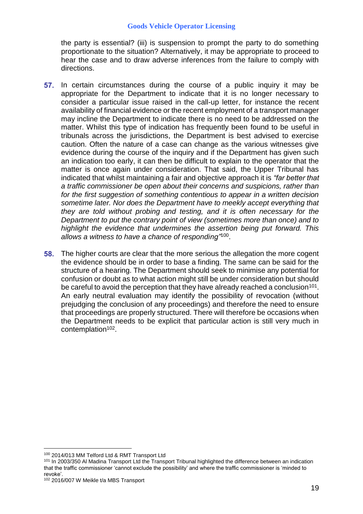the party is essential? (iii) is suspension to prompt the party to do something proportionate to the situation? Alternatively, it may be appropriate to proceed to hear the case and to draw adverse inferences from the failure to comply with directions.

- **57.** In certain circumstances during the course of a public inquiry it may be appropriate for the Department to indicate that it is no longer necessary to consider a particular issue raised in the call-up letter, for instance the recent availability of financial evidence or the recent employment of a transport manager may incline the Department to indicate there is no need to be addressed on the matter. Whilst this type of indication has frequently been found to be useful in tribunals across the jurisdictions, the Department is best advised to exercise caution. Often the nature of a case can change as the various witnesses give evidence during the course of the inquiry and if the Department has given such an indication too early, it can then be difficult to explain to the operator that the matter is once again under consideration. That said, the Upper Tribunal has indicated that whilst maintaining a fair and objective approach it is *"far better that a traffic commissioner be open about their concerns and suspicions, rather than for the first suggestion of something contentious to appear in a written decision sometime later. Nor does the Department have to meekly accept everything that they are told without probing and testing, and it is often necessary for the Department to put the contrary point of view (sometimes more than once) and to highlight the evidence that undermines the assertion being put forward. This allows a witness to have a chance of responding"*<sup>100</sup> .
- **58.** The higher courts are clear that the more serious the allegation the more cogent the evidence should be in order to base a finding. The same can be said for the structure of a hearing. The Department should seek to minimise any potential for confusion or doubt as to what action might still be under consideration but should be careful to avoid the perception that they have already reached a conclusion $^{101}$ . An early neutral evaluation may identify the possibility of revocation (without prejudging the conclusion of any proceedings) and therefore the need to ensure that proceedings are properly structured. There will therefore be occasions when the Department needs to be explicit that particular action is still very much in contemplation<sup>102</sup>.

<sup>100</sup> 2014/013 MM Telford Ltd & RMT Transport Ltd

<sup>101</sup> In 2003/350 Al Madina Transport Ltd the Transport Tribunal highlighted the difference between an indication that the traffic commissioner 'cannot exclude the possibility' and where the traffic commissioner is 'minded to revoke'.

<sup>102</sup> 2016/007 W Meikle t/a MBS Transport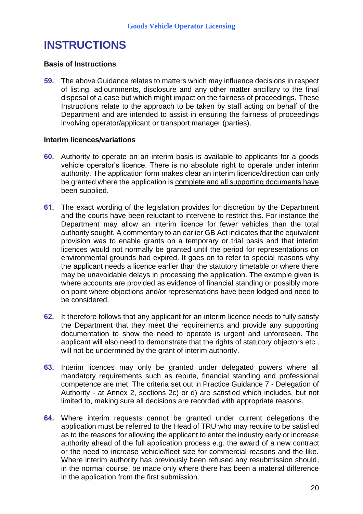# **INSTRUCTIONS**

### **Basis of Instructions**

**59.** The above Guidance relates to matters which may influence decisions in respect of listing, adjournments, disclosure and any other matter ancillary to the final disposal of a case but which might impact on the fairness of proceedings. These Instructions relate to the approach to be taken by staff acting on behalf of the Department and are intended to assist in ensuring the fairness of proceedings involving operator/applicant or transport manager (parties).

### **Interim licences/variations**

- **60.** Authority to operate on an interim basis is available to applicants for a goods vehicle operator's licence. There is no absolute right to operate under interim authority. The application form makes clear an interim licence/direction can only be granted where the application is complete and all supporting documents have been supplied.
- **61.** The exact wording of the legislation provides for discretion by the Department and the courts have been reluctant to intervene to restrict this. For instance the Department may allow an interim licence for fewer vehicles than the total authority sought. A commentary to an earlier GB Act indicates that the equivalent provision was to enable grants on a temporary or trial basis and that interim licences would not normally be granted until the period for representations on environmental grounds had expired. It goes on to refer to special reasons why the applicant needs a licence earlier than the statutory timetable or where there may be unavoidable delays in processing the application. The example given is where accounts are provided as evidence of financial standing or possibly more on point where objections and/or representations have been lodged and need to be considered.
- **62.** It therefore follows that any applicant for an interim licence needs to fully satisfy the Department that they meet the requirements and provide any supporting documentation to show the need to operate is urgent and unforeseen. The applicant will also need to demonstrate that the rights of statutory objectors etc., will not be undermined by the grant of interim authority.
- **63.** Interim licences may only be granted under delegated powers where all mandatory requirements such as repute, financial standing and professional competence are met. The criteria set out in Practice Guidance 7 - Delegation of Authority - at Annex 2, sections 2c) or d) are satisfied which includes, but not limited to, making sure all decisions are recorded with appropriate reasons.
- **64.** Where interim requests cannot be granted under current delegations the application must be referred to the Head of TRU who may require to be satisfied as to the reasons for allowing the applicant to enter the industry early or increase authority ahead of the full application process e.g. the award of a new contract or the need to increase vehicle/fleet size for commercial reasons and the like. Where interim authority has previously been refused any resubmission should, in the normal course, be made only where there has been a material difference in the application from the first submission.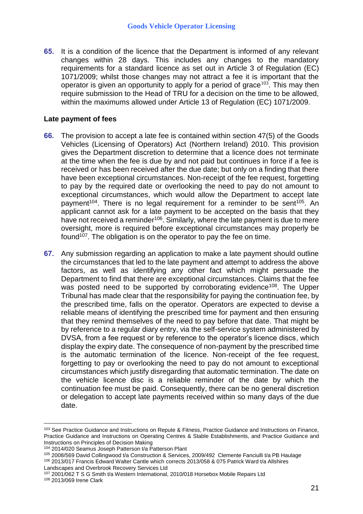**65.** It is a condition of the licence that the Department is informed of any relevant changes within 28 days. This includes any changes to the mandatory requirements for a standard licence as set out in Article 3 of Regulation (EC) 1071/2009; whilst those changes may not attract a fee it is important that the operator is given an opportunity to apply for a period of grace  $103$ . This may then require submission to the Head of TRU for a decision on the time to be allowed, within the maximums allowed under Article 13 of Regulation (EC) 1071/2009.

## **Late payment of fees**

- **66.** The provision to accept a late fee is contained within section 47(5) of the Goods Vehicles (Licensing of Operators) Act (Northern Ireland) 2010. This provision gives the Department discretion to determine that a licence does not terminate at the time when the fee is due by and not paid but continues in force if a fee is received or has been received after the due date; but only on a finding that there have been exceptional circumstances. Non-receipt of the fee request, forgetting to pay by the required date or overlooking the need to pay do not amount to exceptional circumstances, which would allow the Department to accept late payment<sup>104</sup>. There is no legal requirement for a reminder to be sent<sup>105</sup>. An applicant cannot ask for a late payment to be accepted on the basis that they have not received a reminder<sup>106</sup>. Similarly, where the late payment is due to mere oversight, more is required before exceptional circumstances may properly be found<sup>107</sup>. The obligation is on the operator to pay the fee on time.
- **67.** Any submission regarding an application to make a late payment should outline the circumstances that led to the late payment and attempt to address the above factors, as well as identifying any other fact which might persuade the Department to find that there are exceptional circumstances. Claims that the fee was posted need to be supported by corroborating evidence<sup>108</sup>. The Upper Tribunal has made clear that the responsibility for paying the continuation fee, by the prescribed time, falls on the operator. Operators are expected to devise a reliable means of identifying the prescribed time for payment and then ensuring that they remind themselves of the need to pay before that date. That might be by reference to a regular diary entry, via the self-service system administered by DVSA, from a fee request or by reference to the operator's licence discs, which display the expiry date. The consequence of non-payment by the prescribed time is the automatic termination of the licence. Non-receipt of the fee request, forgetting to pay or overlooking the need to pay do not amount to exceptional circumstances which justify disregarding that automatic termination. The date on the vehicle licence disc is a reliable reminder of the date by which the continuation fee must be paid. Consequently, there can be no general discretion or delegation to accept late payments received within so many days of the due date.

<sup>103</sup> See Practice Guidance and Instructions on Repute & Fitness, Practice Guidance and Instructions on Finance, Practice Guidance and Instructions on Operating Centres & Stable Establishments, and Practice Guidance and Instructions on Principles of Decision Making

<sup>104</sup> 2014/020 Seamus Joseph Patterson t/a Patterson Plant

<sup>105 2008/569</sup> David Collingwood t/a Construction & Services, 2009/492 Clemente Fanciulli t/a PB Haulage <sup>106</sup> 2013/017 Francis Edward Walter Cantle which corrects 2013/058 & 075 Patrick Ward t/a Allshires

Landscapes and Overbrook Recovery Services Ltd

<sup>107</sup> 2001/062 T S G Smith t/a Western International, 2010/018 Horsebox Mobile Repairs Ltd <sup>108</sup> 2013/069 Irene Clark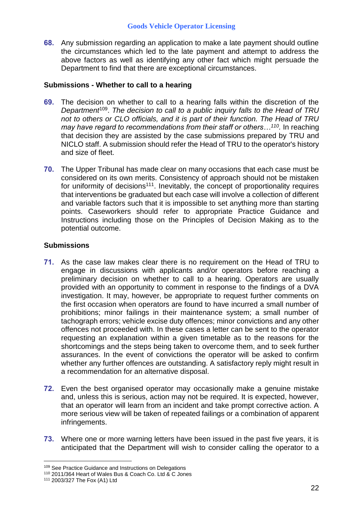**68.** Any submission regarding an application to make a late payment should outline the circumstances which led to the late payment and attempt to address the above factors as well as identifying any other fact which might persuade the Department to find that there are exceptional circumstances.

## **Submissions - Whether to call to a hearing**

- **69.** The decision on whether to call to a hearing falls within the discretion of the *Department*<sup>109</sup> . *The decision to call to a public inquiry falls to the Head of TRU not to others or CLO officials, and it is part of their function. The Head of TRU may have regard to recommendations from their staff or others…<sup>110</sup> .* In reaching that decision they are assisted by the case submissions prepared by TRU and NICLO staff. A submission should refer the Head of TRU to the operator's history and size of fleet.
- **70.** The Upper Tribunal has made clear on many occasions that each case must be considered on its own merits. Consistency of approach should not be mistaken for uniformity of decisions<sup>111</sup>. Inevitably, the concept of proportionality requires that interventions be graduated but each case will involve a collection of different and variable factors such that it is impossible to set anything more than starting points. Caseworkers should refer to appropriate Practice Guidance and Instructions including those on the Principles of Decision Making as to the potential outcome.

## **Submissions**

- **71.** As the case law makes clear there is no requirement on the Head of TRU to engage in discussions with applicants and/or operators before reaching a preliminary decision on whether to call to a hearing. Operators are usually provided with an opportunity to comment in response to the findings of a DVA investigation. It may, however, be appropriate to request further comments on the first occasion when operators are found to have incurred a small number of prohibitions; minor failings in their maintenance system; a small number of tachograph errors; vehicle excise duty offences; minor convictions and any other offences not proceeded with. In these cases a letter can be sent to the operator requesting an explanation within a given timetable as to the reasons for the shortcomings and the steps being taken to overcome them, and to seek further assurances. In the event of convictions the operator will be asked to confirm whether any further offences are outstanding. A satisfactory reply might result in a recommendation for an alternative disposal.
- **72.** Even the best organised operator may occasionally make a genuine mistake and, unless this is serious, action may not be required. It is expected, however, that an operator will learn from an incident and take prompt corrective action. A more serious view will be taken of repeated failings or a combination of apparent infringements.
- **73.** Where one or more warning letters have been issued in the past five years, it is anticipated that the Department will wish to consider calling the operator to a

<u>.</u>

<sup>109</sup> See Practice Guidance and Instructions on Delegations

<sup>110</sup> 2011/364 Heart of Wales Bus & Coach Co. Ltd & C Jones

<sup>111</sup> 2003/327 The Fox (A1) Ltd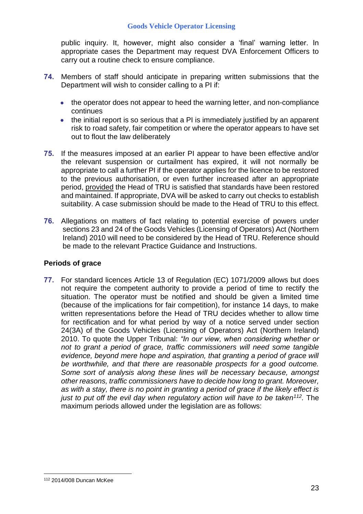public inquiry. It, however, might also consider a 'final' warning letter. In appropriate cases the Department may request DVA Enforcement Officers to carry out a routine check to ensure compliance.

- **74.** Members of staff should anticipate in preparing written submissions that the Department will wish to consider calling to a PI if:
	- the operator does not appear to heed the warning letter, and non-compliance continues
	- the initial report is so serious that a PI is immediately justified by an apparent risk to road safety, fair competition or where the operator appears to have set out to flout the law deliberately
- **75.** If the measures imposed at an earlier PI appear to have been effective and/or the relevant suspension or curtailment has expired, it will not normally be appropriate to call a further PI if the operator applies for the licence to be restored to the previous authorisation, or even further increased after an appropriate period, provided the Head of TRU is satisfied that standards have been restored and maintained. If appropriate, DVA will be asked to carry out checks to establish suitability. A case submission should be made to the Head of TRU to this effect.
- **76.** Allegations on matters of fact relating to potential exercise of powers under sections 23 and 24 of the Goods Vehicles (Licensing of Operators) Act (Northern Ireland) 2010 will need to be considered by the Head of TRU. Reference should be made to the relevant Practice Guidance and Instructions.

# **Periods of grace**

**77.** For standard licences Article 13 of Regulation (EC) 1071/2009 allows but does not require the competent authority to provide a period of time to rectify the situation. The operator must be notified and should be given a limited time (because of the implications for fair competition), for instance 14 days, to make written representations before the Head of TRU decides whether to allow time for rectification and for what period by way of a notice served under section 24(3A) of the Goods Vehicles (Licensing of Operators) Act (Northern Ireland) 2010. To quote the Upper Tribunal: *"In our view, when considering whether or not to grant a period of grace, traffic commissioners will need some tangible evidence, beyond mere hope and aspiration, that granting a period of grace will be worthwhile, and that there are reasonable prospects for a good outcome. Some sort of analysis along these lines will be necessary because, amongst other reasons, traffic commissioners have to decide how long to grant. Moreover, as with a stay, there is no point in granting a period of grace if the likely effect is just to put off the evil day when regulatory action will have to be taken<sup>112</sup> .* The maximum periods allowed under the legislation are as follows:

<sup>&</sup>lt;u>.</u> <sup>112</sup> 2014/008 Duncan McKee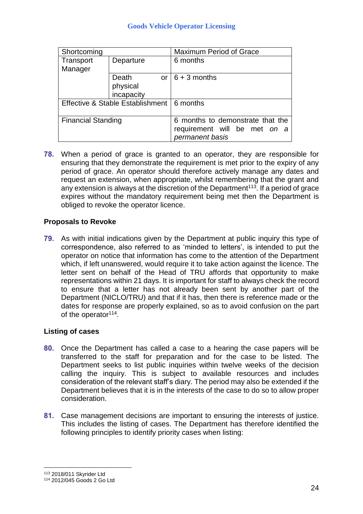| Shortcoming                                 |             | <b>Maximum Period of Grace</b>   |
|---------------------------------------------|-------------|----------------------------------|
| Transport                                   | Departure   | 6 months                         |
| Manager                                     |             |                                  |
|                                             | Death<br>or | $6 + 3$ months                   |
|                                             | physical    |                                  |
|                                             | incapacity  |                                  |
| Effective & Stable Establishment   6 months |             |                                  |
|                                             |             |                                  |
| <b>Financial Standing</b>                   |             | 6 months to demonstrate that the |
|                                             |             | requirement will be met on a     |
|                                             |             | permanent basis                  |

**78.** When a period of grace is granted to an operator, they are responsible for ensuring that they demonstrate the requirement is met prior to the expiry of any period of grace. An operator should therefore actively manage any dates and request an extension, when appropriate, whilst remembering that the grant and any extension is always at the discretion of the Department $^{113}$ . If a period of grace expires without the mandatory requirement being met then the Department is obliged to revoke the operator licence.

# **Proposals to Revoke**

**79.** As with initial indications given by the Department at public inquiry this type of correspondence, also referred to as 'minded to letters', is intended to put the operator on notice that information has come to the attention of the Department which, if left unanswered, would require it to take action against the licence. The letter sent on behalf of the Head of TRU affords that opportunity to make representations within 21 days. It is important for staff to always check the record to ensure that a letter has not already been sent by another part of the Department (NICLO/TRU) and that if it has, then there is reference made or the dates for response are properly explained, so as to avoid confusion on the part of the operator<sup>114</sup>.

# **Listing of cases**

- **80.** Once the Department has called a case to a hearing the case papers will be transferred to the staff for preparation and for the case to be listed. The Department seeks to list public inquiries within twelve weeks of the decision calling the inquiry. This is subject to available resources and includes consideration of the relevant staff's diary. The period may also be extended if the Department believes that it is in the interests of the case to do so to allow proper consideration.
- **81.** Case management decisions are important to ensuring the interests of justice. This includes the listing of cases. The Department has therefore identified the following principles to identify priority cases when listing:

<sup>113</sup> 2018/011 Skyrider Ltd

<sup>114</sup> 2012/045 Goods 2 Go Ltd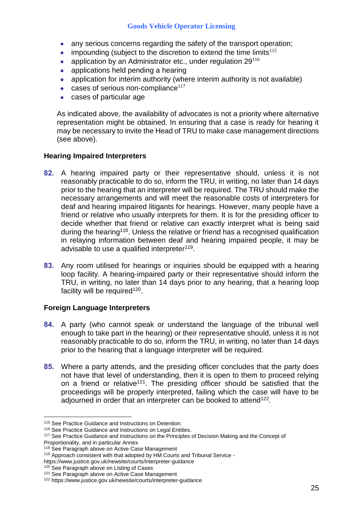- any serious concerns regarding the safety of the transport operation;
- impounding (subject to the discretion to extend the time limits $115$ )
- application by an Administrator etc., under regulation 29<sup>116</sup>
- applications held pending a hearing
- application for interim authority (where interim authority is not available)
- cases of serious non-compliance $117$
- cases of particular age

As indicated above, the availability of advocates is not a priority where alternative representation might be obtained. In ensuring that a case is ready for hearing it may be necessary to invite the Head of TRU to make case management directions (see above).

## **Hearing Impaired Interpreters**

- **82.** A hearing impaired party or their representative should, unless it is not reasonably practicable to do so, inform the TRU, in writing, no later than 14 days prior to the hearing that an interpreter will be required. The TRU should make the necessary arrangements and will meet the reasonable costs of interpreters for deaf and hearing impaired litigants for hearings. However, many people have a friend or relative who usually interprets for them. It is for the presiding officer to decide whether that friend or relative can exactly interpret what is being said during the hearing<sup>118</sup>. Unless the relative or friend has a recognised qualification in relaying information between deaf and hearing impaired people, it may be advisable to use a qualified interpreter<sup>119</sup>.
- **83.** Any room utilised for hearings or inquiries should be equipped with a hearing loop facility. A hearing-impaired party or their representative should inform the TRU, in writing, no later than 14 days prior to any hearing, that a hearing loop facility will be required<sup>120</sup>.

# **Foreign Language Interpreters**

- **84.** A party (who cannot speak or understand the language of the tribunal well enough to take part in the hearing) or their representative should, unless it is not reasonably practicable to do so, inform the TRU, in writing, no later than 14 days prior to the hearing that a language interpreter will be required.
- **85.** Where a party attends, and the presiding officer concludes that the party does not have that level of understanding, then it is open to them to proceed relying on a friend or relative<sup>121</sup>. The presiding officer should be satisfied that the proceedings will be properly interpreted, failing which the case will have to be adjourned in order that an interpreter can be booked to attend<sup>122</sup>.

Proportionality, and in particular Annex

<sup>115</sup> See Practice Guidance and Instructions on Detention.

<sup>&</sup>lt;sup>116</sup> See Practice Guidance and Instructions on Legal Entities.

<sup>&</sup>lt;sup>117</sup> See Practice Guidance and Instructions on the Principles of Decision Making and the Concept of

<sup>&</sup>lt;sup>118</sup> See Paragraph above on Active Case Management <sup>119</sup> Approach consistent with that adopted by HM Courts and Tribunal Service -

https://www.justice.gov.uk/newsite/courts/interpreter-guidance

<sup>&</sup>lt;sup>120</sup> See Paragraph above on Listing of Cases

<sup>&</sup>lt;sup>121</sup> See Paragraph above on Active Case Management

<sup>122</sup> https://www.justice.gov.uk/newsite/courts/interpreter-guidance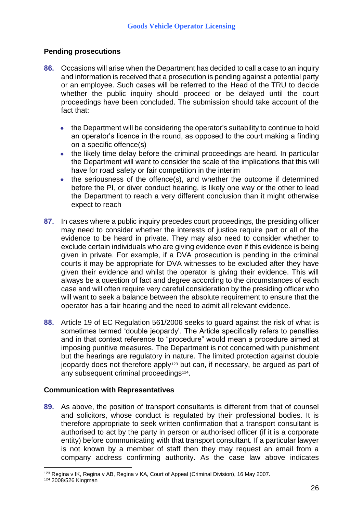# **Pending prosecutions**

- **86.** Occasions will arise when the Department has decided to call a case to an inquiry and information is received that a prosecution is pending against a potential party or an employee. Such cases will be referred to the Head of the TRU to decide whether the public inquiry should proceed or be delayed until the court proceedings have been concluded. The submission should take account of the fact that:
	- the Department will be considering the operator's suitability to continue to hold an operator's licence in the round, as opposed to the court making a finding on a specific offence(s)
	- the likely time delay before the criminal proceedings are heard. In particular the Department will want to consider the scale of the implications that this will have for road safety or fair competition in the interim
	- the seriousness of the offence(s), and whether the outcome if determined before the PI, or diver conduct hearing, is likely one way or the other to lead the Department to reach a very different conclusion than it might otherwise expect to reach
- **87.** In cases where a public inquiry precedes court proceedings, the presiding officer may need to consider whether the interests of justice require part or all of the evidence to be heard in private. They may also need to consider whether to exclude certain individuals who are giving evidence even if this evidence is being given in private. For example, if a DVA prosecution is pending in the criminal courts it may be appropriate for DVA witnesses to be excluded after they have given their evidence and whilst the operator is giving their evidence. This will always be a question of fact and degree according to the circumstances of each case and will often require very careful consideration by the presiding officer who will want to seek a balance between the absolute requirement to ensure that the operator has a fair hearing and the need to admit all relevant evidence.
- **88.** Article 19 of EC Regulation 561/2006 seeks to guard against the risk of what is sometimes termed 'double jeopardy'. The Article specifically refers to penalties and in that context reference to "procedure" would mean a procedure aimed at imposing punitive measures. The Department is not concerned with punishment but the hearings are regulatory in nature. The limited protection against double jeopardy does not therefore apply<sup>123</sup> but can, if necessary, be argued as part of any subsequent criminal proceedings<sup>124</sup>.

# **Communication with Representatives**

**89.** As above, the position of transport consultants is different from that of counsel and solicitors, whose conduct is regulated by their professional bodies. It is therefore appropriate to seek written confirmation that a transport consultant is authorised to act by the party in person or authorised officer (if it is a corporate entity) before communicating with that transport consultant. If a particular lawyer is not known by a member of staff then they may request an email from a company address confirming authority. As the case law above indicates

<sup>1</sup> <sup>123</sup> Regina v IK, Regina v AB, Regina v KA, Court of Appeal (Criminal Division), 16 May 2007.

<sup>124</sup> 2008/526 Kingman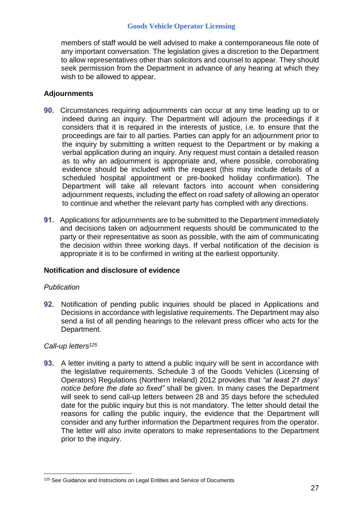members of staff would be well advised to make a contemporaneous file note of any important conversation. The legislation gives a discretion to the Department to allow representatives other than solicitors and counsel to appear. They should seek permission from the Department in advance of any hearing at which they wish to be allowed to appear.

## **Adjournments**

- **90.** Circumstances requiring adjournments can occur at any time leading up to or indeed during an inquiry. The Department will adjourn the proceedings if it considers that it is required in the interests of justice, i.e. to ensure that the proceedings are fair to all parties. Parties can apply for an adjournment prior to the inquiry by submitting a written request to the Department or by making a verbal application during an inquiry. Any request must contain a detailed reason as to why an adjournment is appropriate and, where possible, corroborating evidence should be included with the request (this may include details of a scheduled hospital appointment or pre-booked holiday confirmation). The Department will take all relevant factors into account when considering adjournment requests, including the effect on road safety of allowing an operator to continue and whether the relevant party has complied with any directions.
- **91.** Applications for adjournments are to be submitted to the Department immediately and decisions taken on adjournment requests should be communicated to the party or their representative as soon as possible, with the aim of communicating the decision within three working days. If verbal notification of the decision is appropriate it is to be confirmed in writing at the earliest opportunity.

## **Notification and disclosure of evidence**

#### *Publication*

**92.** Notification of pending public inquiries should be placed in Applications and Decisions in accordance with legislative requirements. The Department may also send a list of all pending hearings to the relevant press officer who acts for the Department.

#### *Call-up letters<sup>125</sup>*

**93.** A letter inviting a party to attend a public inquiry will be sent in accordance with the legislative requirements. Schedule 3 of the Goods Vehicles (Licensing of Operators) Regulations (Northern Ireland) 2012 provides that *"at least 21 days' notice before the date so fixed"* shall be given. In many cases the Department will seek to send call-up letters between 28 and 35 days before the scheduled date for the public inquiry but this is not mandatory. The letter should detail the reasons for calling the public inquiry, the evidence that the Department will consider and any further information the Department requires from the operator. The letter will also invite operators to make representations to the Department prior to the inquiry.

<sup>&</sup>lt;u>.</u> 125 See Guidance and Instructions on Legal Entities and Service of Documents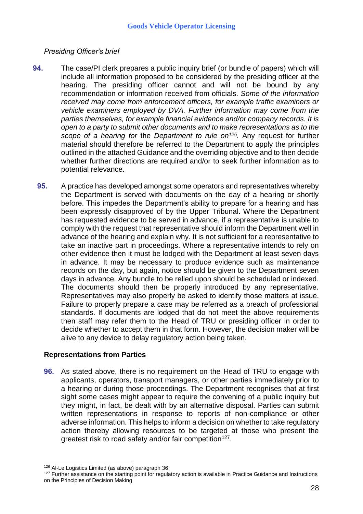## *Presiding Officer's brief*

- **94.** The case/PI clerk prepares a public inquiry brief (or bundle of papers) which will include all information proposed to be considered by the presiding officer at the hearing. The presiding officer cannot and will not be bound by any recommendation or information received from officials. *Some of the information received may come from enforcement officers, for example traffic examiners or vehicle examiners employed by DVA. Further information may come from the parties themselves, for example financial evidence and/or company records. It is open to a party to submit other documents and to make representations as to the scope of a hearing for* the *Department to rule on<sup>126</sup> .* Any request for further material should therefore be referred to the Department to apply the principles outlined in the attached Guidance and the overriding objective and to then decide whether further directions are required and/or to seek further information as to potential relevance.
	- **95.** A practice has developed amongst some operators and representatives whereby the Department is served with documents on the day of a hearing or shortly before. This impedes the Department's ability to prepare for a hearing and has been expressly disapproved of by the Upper Tribunal. Where the Department has requested evidence to be served in advance, if a representative is unable to comply with the request that representative should inform the Department well in advance of the hearing and explain why. It is not sufficient for a representative to take an inactive part in proceedings. Where a representative intends to rely on other evidence then it must be lodged with the Department at least seven days in advance. It may be necessary to produce evidence such as maintenance records on the day, but again, notice should be given to the Department seven days in advance. Any bundle to be relied upon should be scheduled or indexed. The documents should then be properly introduced by any representative. Representatives may also properly be asked to identify those matters at issue. Failure to properly prepare a case may be referred as a breach of professional standards. If documents are lodged that do not meet the above requirements then staff may refer them to the Head of TRU or presiding officer in order to decide whether to accept them in that form. However, the decision maker will be alive to any device to delay regulatory action being taken.

## **Representations from Parties**

**96.** As stated above, there is no requirement on the Head of TRU to engage with applicants, operators, transport managers, or other parties immediately prior to a hearing or during those proceedings. The Department recognises that at first sight some cases might appear to require the convening of a public inquiry but they might, in fact, be dealt with by an alternative disposal. Parties can submit written representations in response to reports of non-compliance or other adverse information. This helps to inform a decision on whether to take regulatory action thereby allowing resources to be targeted at those who present the greatest risk to road safety and/or fair competition<sup>127</sup>.

<u>.</u>

<sup>126</sup> Al-Le Logistics Limited (as above) paragraph 36

<sup>&</sup>lt;sup>127</sup> Further assistance on the starting point for regulatory action is available in Practice Guidance and Instructions on the Principles of Decision Making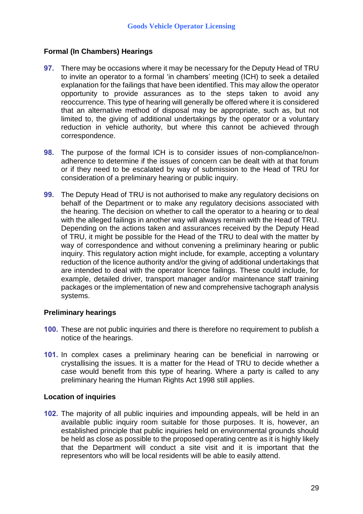# **Formal (In Chambers) Hearings**

- **97.** There may be occasions where it may be necessary for the Deputy Head of TRU to invite an operator to a formal 'in chambers' meeting (ICH) to seek a detailed explanation for the failings that have been identified. This may allow the operator opportunity to provide assurances as to the steps taken to avoid any reoccurrence. This type of hearing will generally be offered where it is considered that an alternative method of disposal may be appropriate, such as, but not limited to, the giving of additional undertakings by the operator or a voluntary reduction in vehicle authority, but where this cannot be achieved through correspondence.
- **98.** The purpose of the formal ICH is to consider issues of non-compliance/nonadherence to determine if the issues of concern can be dealt with at that forum or if they need to be escalated by way of submission to the Head of TRU for consideration of a preliminary hearing or public inquiry.
- **99.** The Deputy Head of TRU is not authorised to make any regulatory decisions on behalf of the Department or to make any regulatory decisions associated with the hearing. The decision on whether to call the operator to a hearing or to deal with the alleged failings in another way will always remain with the Head of TRU. Depending on the actions taken and assurances received by the Deputy Head of TRU, it might be possible for the Head of the TRU to deal with the matter by way of correspondence and without convening a preliminary hearing or public inquiry. This regulatory action might include, for example, accepting a voluntary reduction of the licence authority and/or the giving of additional undertakings that are intended to deal with the operator licence failings. These could include, for example, detailed driver, transport manager and/or maintenance staff training packages or the implementation of new and comprehensive tachograph analysis systems.

## **Preliminary hearings**

- **100.** These are not public inquiries and there is therefore no requirement to publish a notice of the hearings.
- **101.** In complex cases a preliminary hearing can be beneficial in narrowing or crystallising the issues. It is a matter for the Head of TRU to decide whether a case would benefit from this type of hearing. Where a party is called to any preliminary hearing the Human Rights Act 1998 still applies.

#### **Location of inquiries**

**102.** The majority of all public inquiries and impounding appeals, will be held in an available public inquiry room suitable for those purposes. It is, however, an established principle that public inquiries held on environmental grounds should be held as close as possible to the proposed operating centre as it is highly likely that the Department will conduct a site visit and it is important that the representors who will be local residents will be able to easily attend.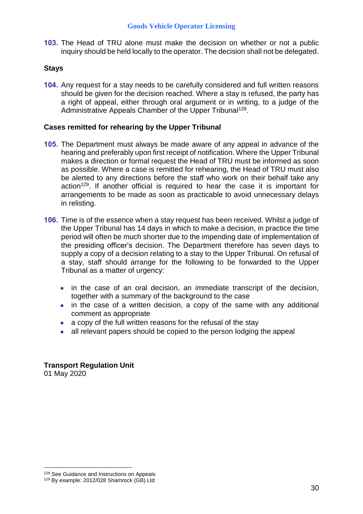**103.** The Head of TRU alone must make the decision on whether or not a public inquiry should be held locally to the operator. The decision shall not be delegated.

## **Stays**

**104.** Any request for a stay needs to be carefully considered and full written reasons should be given for the decision reached. Where a stay is refused, the party has a right of appeal, either through oral argument or in writing, to a judge of the Administrative Appeals Chamber of the Upper Tribunal<sup>128</sup>.

## **Cases remitted for rehearing by the Upper Tribunal**

- **105.** The Department must always be made aware of any appeal in advance of the hearing and preferably upon first receipt of notification. Where the Upper Tribunal makes a direction or formal request the Head of TRU must be informed as soon as possible. Where a case is remitted for rehearing, the Head of TRU must also be alerted to any directions before the staff who work on their behalf take any action<sup>129</sup>. If another official is required to hear the case it is important for arrangements to be made as soon as practicable to avoid unnecessary delays in relisting.
- **106.** Time is of the essence when a stay request has been received. Whilst a judge of the Upper Tribunal has 14 days in which to make a decision, in practice the time period will often be much shorter due to the impending date of implementation of the presiding officer's decision. The Department therefore has seven days to supply a copy of a decision relating to a stay to the Upper Tribunal. On refusal of a stay, staff should arrange for the following to be forwarded to the Upper Tribunal as a matter of urgency:
	- in the case of an oral decision, an immediate transcript of the decision, together with a summary of the background to the case
	- in the case of a written decision, a copy of the same with any additional comment as appropriate
	- a copy of the full written reasons for the refusal of the stay
	- all relevant papers should be copied to the person lodging the appeal

**Transport Regulation Unit** 01 May 2020

<sup>&</sup>lt;sup>128</sup> See Guidance and Instructions on Appeals

<sup>&</sup>lt;sup>129</sup> By example: 2012/028 Shamrock (GB) Ltd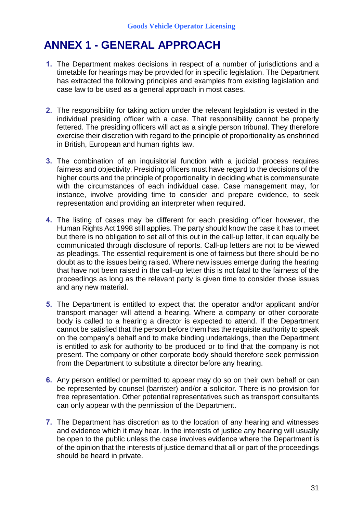# **ANNEX 1 - GENERAL APPROACH**

- **1.** The Department makes decisions in respect of a number of jurisdictions and a timetable for hearings may be provided for in specific legislation. The Department has extracted the following principles and examples from existing legislation and case law to be used as a general approach in most cases.
- **2.** The responsibility for taking action under the relevant legislation is vested in the individual presiding officer with a case. That responsibility cannot be properly fettered. The presiding officers will act as a single person tribunal. They therefore exercise their discretion with regard to the principle of proportionality as enshrined in British, European and human rights law.
- **3.** The combination of an inquisitorial function with a judicial process requires fairness and objectivity. Presiding officers must have regard to the decisions of the higher courts and the principle of proportionality in deciding what is commensurate with the circumstances of each individual case. Case management may, for instance, involve providing time to consider and prepare evidence, to seek representation and providing an interpreter when required.
- **4.** The listing of cases may be different for each presiding officer however, the Human Rights Act 1998 still applies. The party should know the case it has to meet but there is no obligation to set all of this out in the call-up letter, it can equally be communicated through disclosure of reports. Call-up letters are not to be viewed as pleadings. The essential requirement is one of fairness but there should be no doubt as to the issues being raised. Where new issues emerge during the hearing that have not been raised in the call-up letter this is not fatal to the fairness of the proceedings as long as the relevant party is given time to consider those issues and any new material.
- **5.** The Department is entitled to expect that the operator and/or applicant and/or transport manager will attend a hearing. Where a company or other corporate body is called to a hearing a director is expected to attend. If the Department cannot be satisfied that the person before them has the requisite authority to speak on the company's behalf and to make binding undertakings, then the Department is entitled to ask for authority to be produced or to find that the company is not present. The company or other corporate body should therefore seek permission from the Department to substitute a director before any hearing.
- **6.** Any person entitled or permitted to appear may do so on their own behalf or can be represented by counsel (barrister) and/or a solicitor. There is no provision for free representation. Other potential representatives such as transport consultants can only appear with the permission of the Department.
- **7.** The Department has discretion as to the location of any hearing and witnesses and evidence which it may hear. In the interests of justice any hearing will usually be open to the public unless the case involves evidence where the Department is of the opinion that the interests of justice demand that all or part of the proceedings should be heard in private.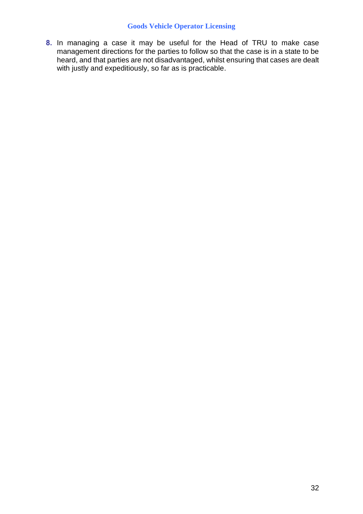**8.** In managing a case it may be useful for the Head of TRU to make case management directions for the parties to follow so that the case is in a state to be heard, and that parties are not disadvantaged, whilst ensuring that cases are dealt with justly and expeditiously, so far as is practicable.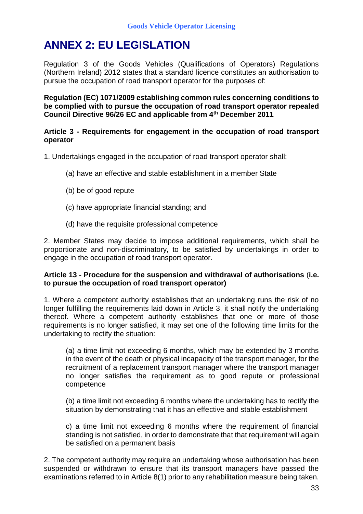# **ANNEX 2: EU LEGISLATION**

Regulation 3 of the Goods Vehicles (Qualifications of Operators) Regulations (Northern Ireland) 2012 states that a standard licence constitutes an authorisation to pursue the occupation of road transport operator for the purposes of:

**Regulation (EC) 1071/2009 establishing common rules concerning conditions to be complied with to pursue the occupation of road transport operator repealed Council Directive 96/26 EC and applicable from 4th December 2011**

## **Article 3 - Requirements for engagement in the occupation of road transport operator**

- 1. Undertakings engaged in the occupation of road transport operator shall:
	- (a) have an effective and stable establishment in a member State
	- (b) be of good repute
	- (c) have appropriate financial standing; and
	- (d) have the requisite professional competence

2. Member States may decide to impose additional requirements, which shall be proportionate and non-discriminatory, to be satisfied by undertakings in order to engage in the occupation of road transport operator.

## **Article 13 - Procedure for the suspension and withdrawal of authorisations** (**i.e. to pursue the occupation of road transport operator)**

1. Where a competent authority establishes that an undertaking runs the risk of no longer fulfilling the requirements laid down in Article 3, it shall notify the undertaking thereof. Where a competent authority establishes that one or more of those requirements is no longer satisfied, it may set one of the following time limits for the undertaking to rectify the situation:

(a) a time limit not exceeding 6 months, which may be extended by 3 months in the event of the death or physical incapacity of the transport manager, for the recruitment of a replacement transport manager where the transport manager no longer satisfies the requirement as to good repute or professional competence

(b) a time limit not exceeding 6 months where the undertaking has to rectify the situation by demonstrating that it has an effective and stable establishment

c) a time limit not exceeding 6 months where the requirement of financial standing is not satisfied, in order to demonstrate that that requirement will again be satisfied on a permanent basis

2. The competent authority may require an undertaking whose authorisation has been suspended or withdrawn to ensure that its transport managers have passed the examinations referred to in Article 8(1) prior to any rehabilitation measure being taken.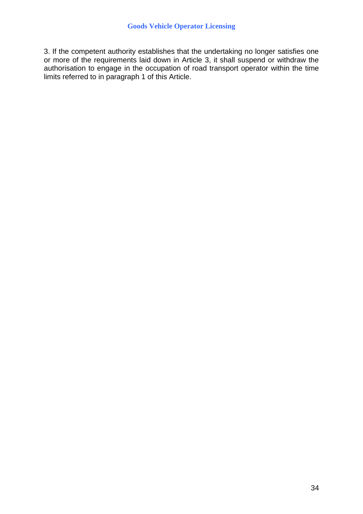3. If the competent authority establishes that the undertaking no longer satisfies one or more of the requirements laid down in Article 3, it shall suspend or withdraw the authorisation to engage in the occupation of road transport operator within the time limits referred to in paragraph 1 of this Article.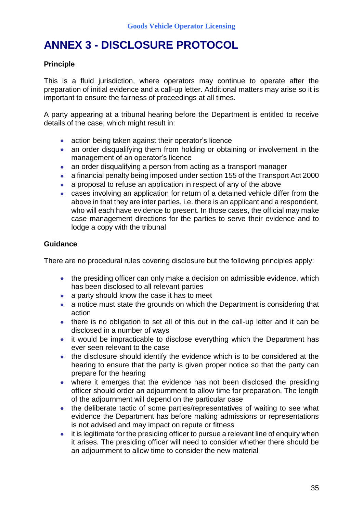# **ANNEX 3 - DISCLOSURE PROTOCOL**

## **Principle**

This is a fluid jurisdiction, where operators may continue to operate after the preparation of initial evidence and a call-up letter. Additional matters may arise so it is important to ensure the fairness of proceedings at all times.

A party appearing at a tribunal hearing before the Department is entitled to receive details of the case, which might result in:

- action being taken against their operator's licence
- an order disqualifying them from holding or obtaining or involvement in the management of an operator's licence
- an order disqualifying a person from acting as a transport manager
- a financial penalty being imposed under section 155 of the Transport Act 2000
- a proposal to refuse an application in respect of any of the above
- cases involving an application for return of a detained vehicle differ from the above in that they are inter parties, i.e. there is an applicant and a respondent, who will each have evidence to present. In those cases, the official may make case management directions for the parties to serve their evidence and to lodge a copy with the tribunal

## **Guidance**

There are no procedural rules covering disclosure but the following principles apply:

- the presiding officer can only make a decision on admissible evidence, which has been disclosed to all relevant parties
- a party should know the case it has to meet
- a notice must state the grounds on which the Department is considering that action
- there is no obligation to set all of this out in the call-up letter and it can be disclosed in a number of ways
- it would be impracticable to disclose everything which the Department has ever seen relevant to the case
- the disclosure should identify the evidence which is to be considered at the hearing to ensure that the party is given proper notice so that the party can prepare for the hearing
- where it emerges that the evidence has not been disclosed the presiding officer should order an adjournment to allow time for preparation. The length of the adjournment will depend on the particular case
- the deliberate tactic of some parties/representatives of waiting to see what evidence the Department has before making admissions or representations is not advised and may impact on repute or fitness
- it is legitimate for the presiding officer to pursue a relevant line of enguiry when it arises. The presiding officer will need to consider whether there should be an adjournment to allow time to consider the new material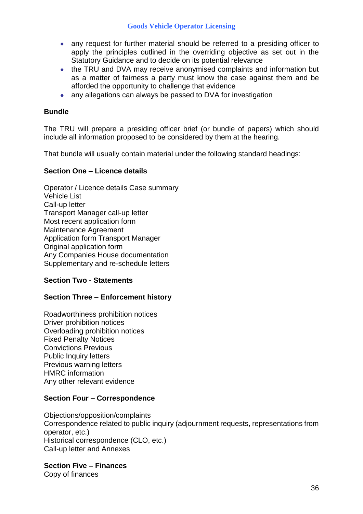- any request for further material should be referred to a presiding officer to apply the principles outlined in the overriding objective as set out in the Statutory Guidance and to decide on its potential relevance
- the TRU and DVA may receive anonymised complaints and information but as a matter of fairness a party must know the case against them and be afforded the opportunity to challenge that evidence
- any allegations can always be passed to DVA for investigation

## **Bundle**

The TRU will prepare a presiding officer brief (or bundle of papers) which should include all information proposed to be considered by them at the hearing.

That bundle will usually contain material under the following standard headings:

## **Section One – Licence details**

Operator / Licence details Case summary Vehicle List Call-up letter Transport Manager call-up letter Most recent application form Maintenance Agreement Application form Transport Manager Original application form Any Companies House documentation Supplementary and re-schedule letters

## **Section Two - Statements**

## **Section Three – Enforcement history**

Roadworthiness prohibition notices Driver prohibition notices Overloading prohibition notices Fixed Penalty Notices Convictions Previous Public Inquiry letters Previous warning letters HMRC information Any other relevant evidence

## **Section Four – Correspondence**

Objections/opposition/complaints Correspondence related to public inquiry (adjournment requests, representations from operator, etc.) Historical correspondence (CLO, etc.) Call-up letter and Annexes

**Section Five – Finances**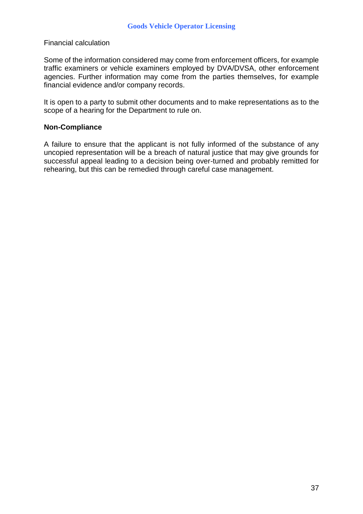### Financial calculation

Some of the information considered may come from enforcement officers, for example traffic examiners or vehicle examiners employed by DVA/DVSA, other enforcement agencies. Further information may come from the parties themselves, for example financial evidence and/or company records.

It is open to a party to submit other documents and to make representations as to the scope of a hearing for the Department to rule on.

### **Non-Compliance**

A failure to ensure that the applicant is not fully informed of the substance of any uncopied representation will be a breach of natural justice that may give grounds for successful appeal leading to a decision being over-turned and probably remitted for rehearing, but this can be remedied through careful case management.